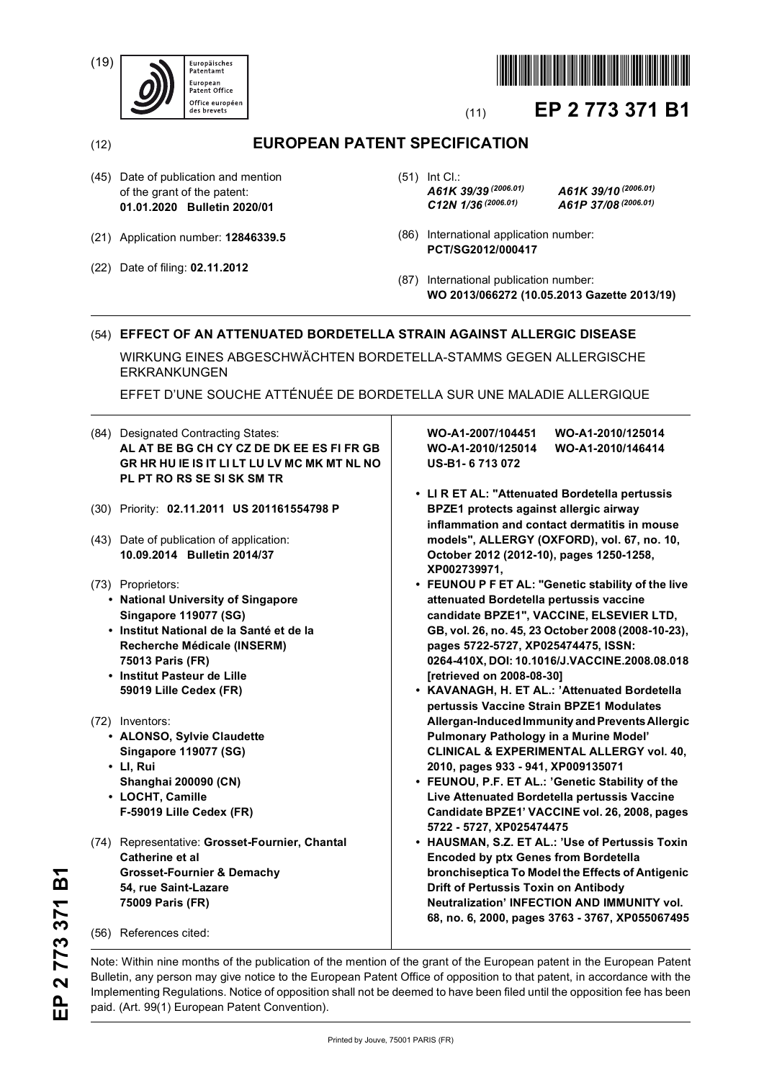(19)





# (11) **EP 2 773 371 B1**

# (12) **EUROPEAN PATENT SPECIFICATION**

- (45) Date of publication and mention of the grant of the patent: **01.01.2020 Bulletin 2020/01**
- (21) Application number: **12846339.5**
- (22) Date of filing: **02.11.2012**

(51) Int Cl.: *A61K 39/39 (2006.01) A61K 39/10 (2006.01) C12N 1/36 (2006.01) A61P 37/08 (2006.01)*

- (86) International application number: **PCT/SG2012/000417**
- (87) International publication number: **WO 2013/066272 (10.05.2013 Gazette 2013/19)**

# (54) **EFFECT OF AN ATTENUATED BORDETELLA STRAIN AGAINST ALLERGIC DISEASE**

WIRKUNG EINES ABGESCHWÄCHTEN BORDETELLA-STAMMS GEGEN ALLERGISCHE ERKRANKUNGEN

EFFET D'UNE SOUCHE ATTÉNUÉE DE BORDETELLA SUR UNE MALADIE ALLERGIQUE

- (84) Designated Contracting States: **AL AT BE BG CH CY CZ DE DK EE ES FI FR GB GR HR HU IE IS IT LI LT LU LV MC MK MT NL NO PL PT RO RS SE SI SK SM TR**
- (30) Priority: **02.11.2011 US 201161554798 P**
- (43) Date of publication of application: **10.09.2014 Bulletin 2014/37**
- (73) Proprietors:
	- **National University of Singapore Singapore 119077 (SG)**
	- **Institut National de la Santé et de la Recherche Médicale (INSERM) 75013 Paris (FR)**
	- **Institut Pasteur de Lille 59019 Lille Cedex (FR)**
- (72) Inventors:
	- **ALONSO, Sylvie Claudette Singapore 119077 (SG)**
	- **LI, Rui Shanghai 200090 (CN)**
	- **LOCHT, Camille F-59019 Lille Cedex (FR)**
- (74) Representative: **Grosset-Fournier, Chantal Catherine et al Grosset-Fournier & Demachy 54, rue Saint-Lazare 75009 Paris (FR)**

(56) References cited:

**WO-A1-2007/104451 WO-A1-2010/125014 WO-A1-2010/125014 WO-A1-2010/146414 US-B1- 6 713 072** 

- **LI R ET AL: "Attenuated Bordetella pertussis BPZE1 protects against allergic airway inflammation and contact dermatitis in mouse models", ALLERGY (OXFORD), vol. 67, no. 10, October 2012 (2012-10), pages 1250-1258, XP002739971,**
- **FEUNOU P F ET AL: "Genetic stability of the live attenuated Bordetella pertussis vaccine candidate BPZE1", VACCINE, ELSEVIER LTD, GB, vol. 26, no. 45, 23 October 2008 (2008-10-23), pages 5722-5727, XP025474475, ISSN: 0264-410X, DOI: 10.1016/J.VACCINE.2008.08.018 [retrieved on 2008-08-30]**
- **KAVANAGH, H. ET AL.: 'Attenuated Bordetella pertussis Vaccine Strain BPZE1 Modulates Allergan-Induced Immunity and Prevents Allergic Pulmonary Pathology in a Murine Model' CLINICAL & EXPERIMENTAL ALLERGY vol. 40, 2010, pages 933 - 941, XP009135071**
- **FEUNOU, P.F. ET AL.: 'Genetic Stability of the Live Attenuated Bordetella pertussis Vaccine Candidate BPZE1' VACCINE vol. 26, 2008, pages 5722 - 5727, XP025474475**
- **HAUSMAN, S.Z. ET AL.: 'Use of Pertussis Toxin Encoded by ptx Genes from Bordetella bronchiseptica To Model the Effects of Antigenic Drift of Pertussis Toxin on Antibody Neutralization' INFECTION AND IMMUNITY vol. 68, no. 6, 2000, pages 3763 - 3767, XP055067495**

Note: Within nine months of the publication of the mention of the grant of the European patent in the European Patent Bulletin, any person may give notice to the European Patent Office of opposition to that patent, in accordance with the Implementing Regulations. Notice of opposition shall not be deemed to have been filed until the opposition fee has been paid. (Art. 99(1) European Patent Convention).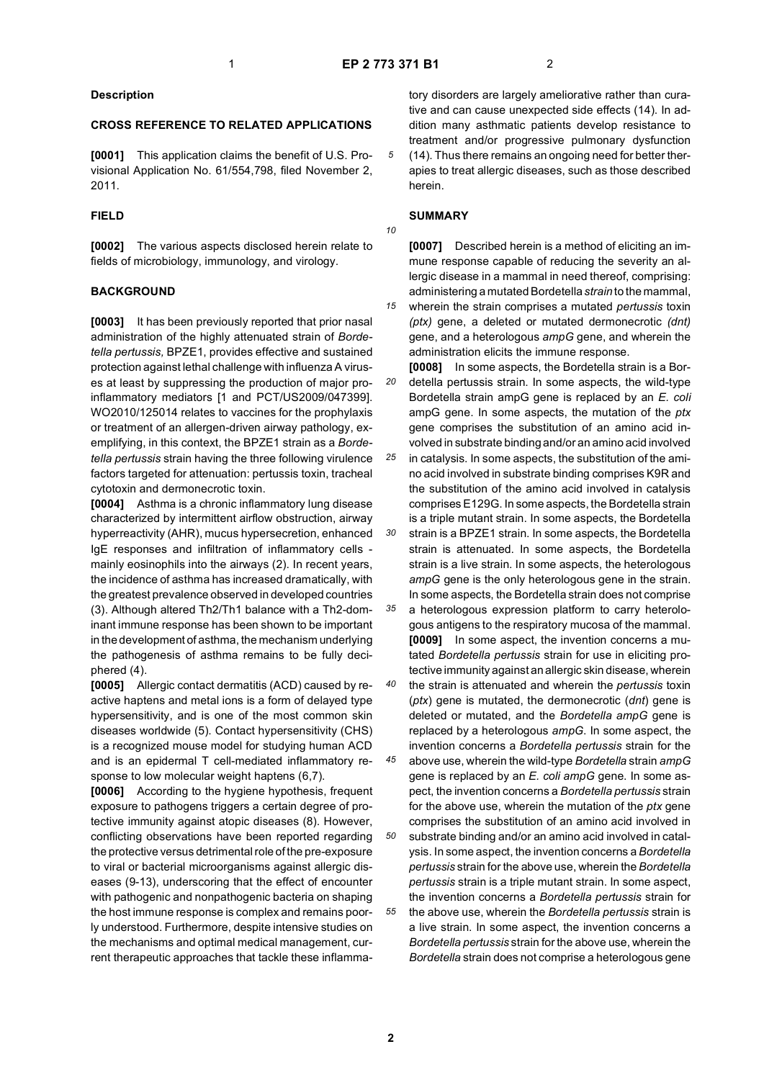*10*

*15*

# **Description**

# **CROSS REFERENCE TO RELATED APPLICATIONS**

**[0001]** This application claims the benefit of U.S. Provisional Application No. 61/554,798, filed November 2, 2011.

# **FIELD**

**[0002]** The various aspects disclosed herein relate to fields of microbiology, immunology, and virology.

# **BACKGROUND**

**[0003]** It has been previously reported that prior nasal administration of the highly attenuated strain of *Bordetella pertussis,* BPZE1, provides effective and sustained protection against lethal challenge with influenza A viruses at least by suppressing the production of major proinflammatory mediators [1 and PCT/US2009/047399]. WO2010/125014 relates to vaccines for the prophylaxis or treatment of an allergen-driven airway pathology, exemplifying, in this context, the BPZE1 strain as a *Bordetella pertussis* strain having the three following virulence factors targeted for attenuation: pertussis toxin, tracheal cytotoxin and dermonecrotic toxin.

**[0004]** Asthma is a chronic inflammatory lung disease characterized by intermittent airflow obstruction, airway hyperreactivity (AHR), mucus hypersecretion, enhanced IgE responses and infiltration of inflammatory cells mainly eosinophils into the airways (2). In recent years, the incidence of asthma has increased dramatically, with the greatest prevalence observed in developed countries (3). Although altered Th2/Th1 balance with a Th2-dominant immune response has been shown to be important in the development of asthma, the mechanism underlying the pathogenesis of asthma remains to be fully deciphered (4).

**[0005]** Allergic contact dermatitis (ACD) caused by reactive haptens and metal ions is a form of delayed type hypersensitivity, and is one of the most common skin diseases worldwide (5). Contact hypersensitivity (CHS) is a recognized mouse model for studying human ACD and is an epidermal T cell-mediated inflammatory response to low molecular weight haptens (6,7).

**[0006]** According to the hygiene hypothesis, frequent exposure to pathogens triggers a certain degree of protective immunity against atopic diseases (8). However, conflicting observations have been reported regarding the protective versus detrimental role of the pre-exposure to viral or bacterial microorganisms against allergic diseases (9-13), underscoring that the effect of encounter with pathogenic and nonpathogenic bacteria on shaping the host immune response is complex and remains poorly understood. Furthermore, despite intensive studies on the mechanisms and optimal medical management, current therapeutic approaches that tackle these inflammatory disorders are largely ameliorative rather than curative and can cause unexpected side effects (14). In addition many asthmatic patients develop resistance to treatment and/or progressive pulmonary dysfunction (14). Thus there remains an ongoing need for better therapies to treat allergic diseases, such as those described herein.

# **SUMMARY**

**[0007]** Described herein is a method of eliciting an immune response capable of reducing the severity an allergic disease in a mammal in need thereof, comprising: administering a mutated Bordetella *strain* to the mammal, wherein the strain comprises a mutated *pertussis* toxin *(ptx)* gene, a deleted or mutated dermonecrotic *(dnt)*

gene, and a heterologous *ampG* gene, and wherein the administration elicits the immune response.

*20* **[0008]** In some aspects, the Bordetella strain is a Bordetella pertussis strain. In some aspects, the wild-type Bordetella strain ampG gene is replaced by an *E. coli* ampG gene. In some aspects, the mutation of the *ptx* gene comprises the substitution of an amino acid involved in substrate binding and/or an amino acid involved

*25 30* in catalysis. In some aspects, the substitution of the amino acid involved in substrate binding comprises K9R and the substitution of the amino acid involved in catalysis comprises E129G. In some aspects, the Bordetella strain is a triple mutant strain. In some aspects, the Bordetella strain is a BPZE1 strain. In some aspects, the Bordetella

strain is attenuated. In some aspects, the Bordetella strain is a live strain. In some aspects, the heterologous *ampG* gene is the only heterologous gene in the strain. In some aspects, the Bordetella strain does not comprise

*35* a heterologous expression platform to carry heterologous antigens to the respiratory mucosa of the mammal. **[0009]** In some aspect, the invention concerns a mutated *Bordetella pertussis* strain for use in eliciting protective immunity against an allergic skin disease, wherein

*40* the strain is attenuated and wherein the *pertussis* toxin (*ptx*) gene is mutated, the dermonecrotic (*dnt*) gene is deleted or mutated, and the *Bordetella ampG* gene is replaced by a heterologous *ampG*. In some aspect, the invention concerns a *Bordetella pertussis* strain for the

*45* above use, wherein the wild-type *Bordetella* strain *ampG* gene is replaced by an *E. coli ampG* gene. In some aspect, the invention concerns a *Bordetella pertussis* strain for the above use, wherein the mutation of the *ptx* gene comprises the substitution of an amino acid involved in

*50 55* substrate binding and/or an amino acid involved in catalysis. In some aspect, the invention concerns a *Bordetella pertussis* strain for the above use, wherein the *Bordetella pertussis* strain is a triple mutant strain. In some aspect, the invention concerns a *Bordetella pertussis* strain for the above use, wherein the *Bordetella pertussis* strain is a live strain. In some aspect, the invention concerns a *Bordetella pertussis* strain for the above use, wherein the *Bordetella* strain does not comprise a heterologous gene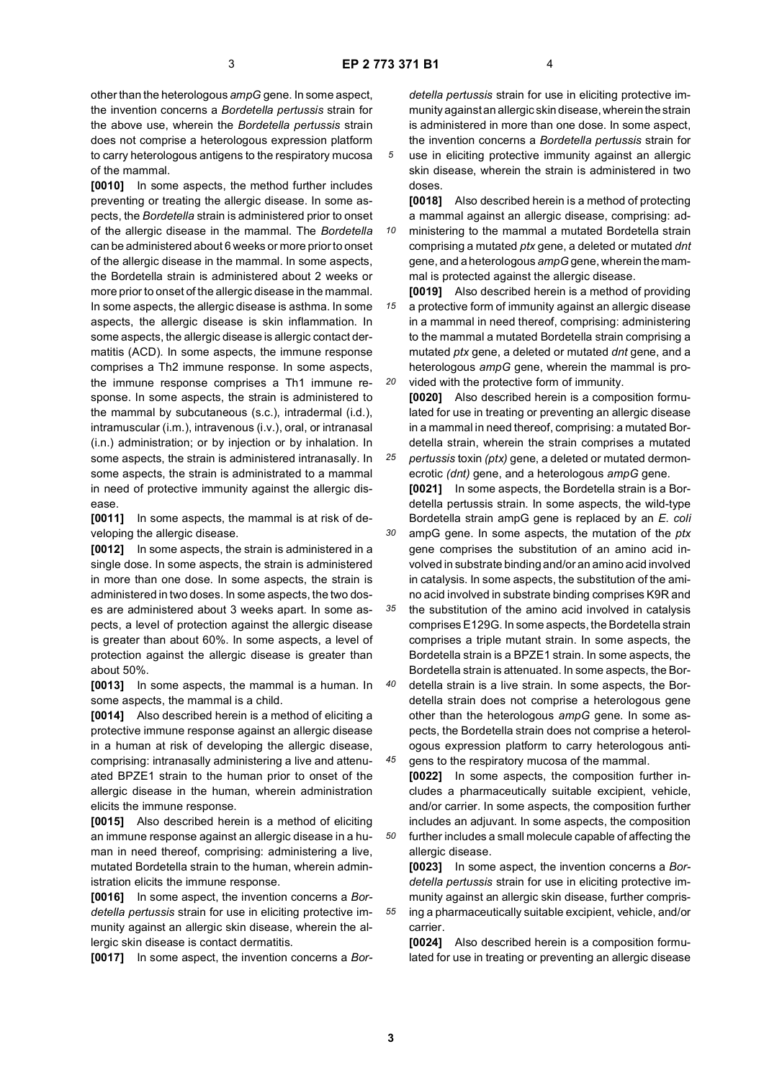other than the heterologous *ampG* gene. In some aspect, the invention concerns a *Bordetella pertussis* strain for the above use, wherein the *Bordetella pertussis* strain does not comprise a heterologous expression platform to carry heterologous antigens to the respiratory mucosa of the mammal.

**[0010]** In some aspects, the method further includes preventing or treating the allergic disease. In some aspects, the *Bordetella* strain is administered prior to onset of the allergic disease in the mammal. The *Bordetella* can be administered about 6 weeks or more prior to onset of the allergic disease in the mammal. In some aspects, the Bordetella strain is administered about 2 weeks or more prior to onset of the allergic disease in the mammal. In some aspects, the allergic disease is asthma. In some aspects, the allergic disease is skin inflammation. In some aspects, the allergic disease is allergic contact dermatitis (ACD). In some aspects, the immune response comprises a Th2 immune response. In some aspects, the immune response comprises a Th1 immune response. In some aspects, the strain is administered to the mammal by subcutaneous (s.c.), intradermal (i.d.), intramuscular (i.m.), intravenous (i.v.), oral, or intranasal (i.n.) administration; or by injection or by inhalation. In some aspects, the strain is administered intranasally. In some aspects, the strain is administrated to a mammal in need of protective immunity against the allergic disease.

**[0011]** In some aspects, the mammal is at risk of developing the allergic disease.

**[0012]** In some aspects, the strain is administered in a single dose. In some aspects, the strain is administered in more than one dose. In some aspects, the strain is administered in two doses. In some aspects, the two doses are administered about 3 weeks apart. In some aspects, a level of protection against the allergic disease is greater than about 60%. In some aspects, a level of protection against the allergic disease is greater than about 50%.

**[0013]** In some aspects, the mammal is a human. In some aspects, the mammal is a child.

**[0014]** Also described herein is a method of eliciting a protective immune response against an allergic disease in a human at risk of developing the allergic disease, comprising: intranasally administering a live and attenuated BPZE1 strain to the human prior to onset of the allergic disease in the human, wherein administration elicits the immune response.

**[0015]** Also described herein is a method of eliciting an immune response against an allergic disease in a human in need thereof, comprising: administering a live, mutated Bordetella strain to the human, wherein administration elicits the immune response.

**[0016]** In some aspect, the invention concerns a *Bordetella pertussis* strain for use in eliciting protective immunity against an allergic skin disease, wherein the allergic skin disease is contact dermatitis.

**[0017]** In some aspect, the invention concerns a *Bor-*

*detella pertussis* strain for use in eliciting protective immunity against an allergic skin disease, wherein the strain is administered in more than one dose. In some aspect, the invention concerns a *Bordetella pertussis* strain for use in eliciting protective immunity against an allergic

skin disease, wherein the strain is administered in two doses.

**[0018]** Also described herein is a method of protecting a mammal against an allergic disease, comprising: ad-

*10* ministering to the mammal a mutated Bordetella strain comprising a mutated *ptx* gene, a deleted or mutated *dnt* gene, and a heterologous *ampG* gene, wherein the mammal is protected against the allergic disease.

*15 20* **[0019]** Also described herein is a method of providing a protective form of immunity against an allergic disease in a mammal in need thereof, comprising: administering to the mammal a mutated Bordetella strain comprising a mutated *ptx* gene, a deleted or mutated *dnt* gene, and a heterologous *ampG* gene, wherein the mammal is provided with the protective form of immunity.

*25* **[0020]** Also described herein is a composition formulated for use in treating or preventing an allergic disease in a mammal in need thereof, comprising: a mutated Bordetella strain, wherein the strain comprises a mutated

*30 pertussis* toxin *(ptx)* gene, a deleted or mutated dermonecrotic *(dnt)* gene, and a heterologous *ampG* gene. **[0021]** In some aspects, the Bordetella strain is a Bordetella pertussis strain. In some aspects, the wild-type Bordetella strain ampG gene is replaced by an *E. coli* ampG gene. In some aspects, the mutation of the *ptx*

gene comprises the substitution of an amino acid involved in substrate binding and/or an amino acid involved in catalysis. In some aspects, the substitution of the amino acid involved in substrate binding comprises K9R and

*35* the substitution of the amino acid involved in catalysis comprises E129G. In some aspects, the Bordetella strain comprises a triple mutant strain. In some aspects, the Bordetella strain is a BPZE1 strain. In some aspects, the Bordetella strain is attenuated. In some aspects, the Bor-

*40 45* detella strain is a live strain. In some aspects, the Bordetella strain does not comprise a heterologous gene other than the heterologous *ampG* gene. In some aspects, the Bordetella strain does not comprise a heterologous expression platform to carry heterologous anti-

*50* gens to the respiratory mucosa of the mammal. **[0022]** In some aspects, the composition further includes a pharmaceutically suitable excipient, vehicle, and/or carrier. In some aspects, the composition further includes an adjuvant. In some aspects, the composition further includes a small molecule capable of affecting the

allergic disease.

**[0023]** In some aspect, the invention concerns a *Bordetella pertussis* strain for use in eliciting protective immunity against an allergic skin disease, further comprising a pharmaceutically suitable excipient, vehicle, and/or carrier.

**[0024]** Also described herein is a composition formulated for use in treating or preventing an allergic disease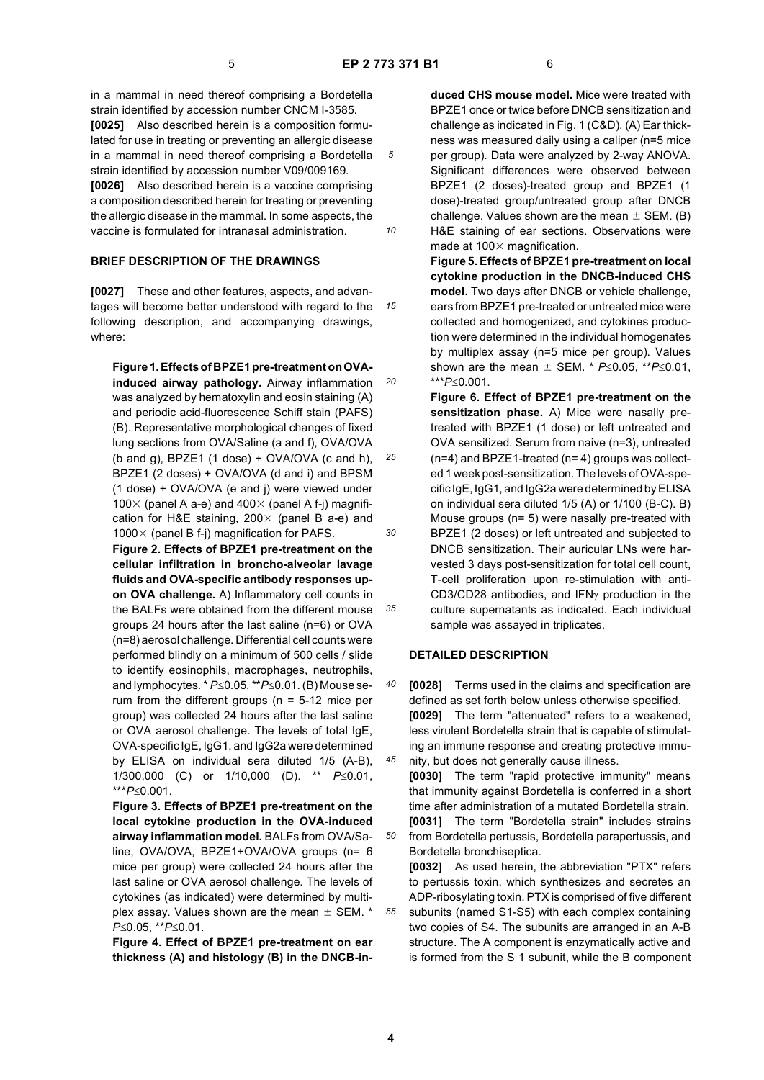*10*

*20*

*25*

*30*

*35*

in a mammal in need thereof comprising a Bordetella strain identified by accession number CNCM I-3585. **[0025]** Also described herein is a composition formulated for use in treating or preventing an allergic disease in a mammal in need thereof comprising a Bordetella strain identified by accession number V09/009169. **[0026]** Also described herein is a vaccine comprising

a composition described herein for treating or preventing the allergic disease in the mammal. In some aspects, the vaccine is formulated for intranasal administration.

# **BRIEF DESCRIPTION OF THE DRAWINGS**

*15* tages will become better understood with regard to the **[0027]** These and other features, aspects, and advanfollowing description, and accompanying drawings, where:

**Figure 1. Effects of BPZE1 pre-treatment on OVAinduced airway pathology.** Airway inflammation was analyzed by hematoxylin and eosin staining (A) and periodic acid-fluorescence Schiff stain (PAFS) (B). Representative morphological changes of fixed lung sections from OVA/Saline (a and f), OVA/OVA (b and q),  $BPZE1$  (1 dose) + OVA/OVA (c and h), BPZE1 (2 doses) + OVA/OVA (d and i) and BPSM (1 dose) + OVA/OVA (e and j) were viewed under 100 $\times$  (panel A a-e) and 400 $\times$  (panel A f-j) magnification for H&E staining,  $200 \times$  (panel B a-e) and 1000 $\times$  (panel B f-j) magnification for PAFS.

**Figure 2. Effects of BPZE1 pre-treatment on the cellular infiltration in broncho-alveolar lavage fluids and OVA-specific antibody responses upon OVA challenge.** A) Inflammatory cell counts in the BALFs were obtained from the different mouse groups 24 hours after the last saline (n=6) or OVA (n=8) aerosol challenge. Differential cell counts were performed blindly on a minimum of 500 cells / slide to identify eosinophils, macrophages, neutrophils, and lymphocytes. \* *P*≤0.05, \*\**P*≤0.01. (B) Mouse serum from the different groups ( $n = 5-12$  mice per group) was collected 24 hours after the last saline or OVA aerosol challenge. The levels of total IgE, OVA-specific IgE, IgG1, and IgG2a were determined by ELISA on individual sera diluted 1/5 (A-B), 1/300,000 (C) or 1/10,000 (D). \*\* *P*≤0.01, \*\*\**P*≤0.001.

**Figure 3. Effects of BPZE1 pre-treatment on the local cytokine production in the OVA-induced airway inflammation model.** BALFs from OVA/Saline, OVA/OVA, BPZE1+OVA/OVA groups (n= 6 mice per group) were collected 24 hours after the last saline or OVA aerosol challenge. The levels of cytokines (as indicated) were determined by multiplex assay. Values shown are the mean  $\pm$  SEM.  $^{\star}$ *P*≤0.05, \*\**P*≤0.01.

**Figure 4. Effect of BPZE1 pre-treatment on ear thickness (A) and histology (B) in the DNCB-in-** **duced CHS mouse model.** Mice were treated with BPZE1 once or twice before DNCB sensitization and challenge as indicated in Fig. 1 (C&D). (A) Ear thickness was measured daily using a caliper (n=5 mice per group). Data were analyzed by 2-way ANOVA. Significant differences were observed between BPZE1 (2 doses)-treated group and BPZE1 (1 dose)-treated group/untreated group after DNCB challenge. Values shown are the mean  $\pm$  SEM. (B) H&E staining of ear sections. Observations were made at  $100 \times$  magnification.

**Figure 5. Effects of BPZE1 pre-treatment on local cytokine production in the DNCB-induced CHS model.** Two days after DNCB or vehicle challenge, ears from BPZE1 pre-treated or untreated mice were collected and homogenized, and cytokines production were determined in the individual homogenates by multiplex assay (n=5 mice per group). Values shown are the mean  $\pm$  SEM. \* *P*≤0.05, \*\**P*≤0.01, \*\*\**P*≤0.001.

**Figure 6. Effect of BPZE1 pre-treatment on the sensitization phase.** A) Mice were nasally pretreated with BPZE1 (1 dose) or left untreated and OVA sensitized. Serum from naive (n=3), untreated (n=4) and BPZE1-treated (n= 4) groups was collected 1 week post-sensitization. The levels of OVA-specific IgE, IgG1, and IgG2a were determined by ELISA on individual sera diluted 1/5 (A) or 1/100 (B-C). B) Mouse groups (n= 5) were nasally pre-treated with BPZE1 (2 doses) or left untreated and subjected to DNCB sensitization. Their auricular LNs were harvested 3 days post-sensitization for total cell count, T-cell proliferation upon re-stimulation with anti-CD3/CD28 antibodies, and IFNγ production in the culture supernatants as indicated. Each individual sample was assayed in triplicates.

### **DETAILED DESCRIPTION**

*40 45* **[0028]** Terms used in the claims and specification are defined as set forth below unless otherwise specified. **[0029]** The term "attenuated" refers to a weakened, less virulent Bordetella strain that is capable of stimulating an immune response and creating protective immunity, but does not generally cause illness.

**[0030]** The term "rapid protective immunity" means that immunity against Bordetella is conferred in a short time after administration of a mutated Bordetella strain. **[0031]** The term "Bordetella strain" includes strains from Bordetella pertussis, Bordetella parapertussis, and Bordetella bronchiseptica.

*55* **[0032]** As used herein, the abbreviation "PTX" refers to pertussis toxin, which synthesizes and secretes an ADP-ribosylating toxin. PTX is comprised of five different subunits (named S1-S5) with each complex containing two copies of S4. The subunits are arranged in an A-B structure. The A component is enzymatically active and is formed from the S 1 subunit, while the B component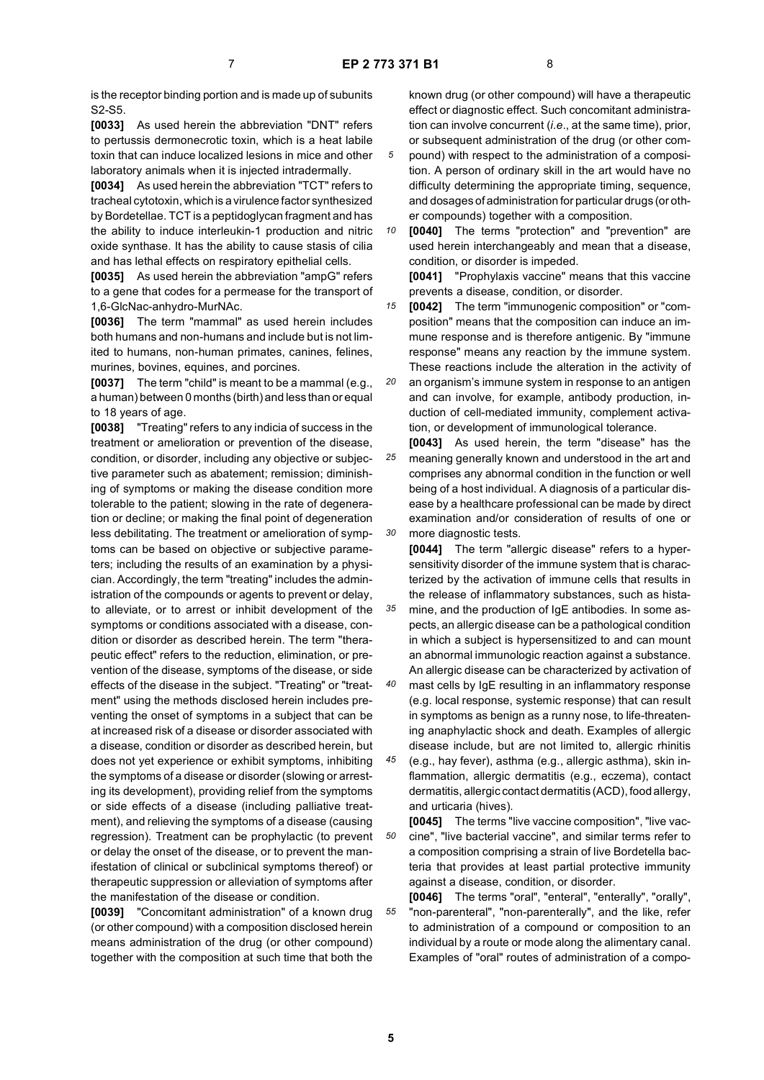is the receptor binding portion and is made up of subunits S2-S5.

**[0033]** As used herein the abbreviation "DNT" refers to pertussis dermonecrotic toxin, which is a heat labile toxin that can induce localized lesions in mice and other laboratory animals when it is injected intradermally.

**[0034]** As used herein the abbreviation "TCT" refers to tracheal cytotoxin, which is a virulence factor synthesized by Bordetellae. TCT is a peptidoglycan fragment and has the ability to induce interleukin-1 production and nitric oxide synthase. It has the ability to cause stasis of cilia and has lethal effects on respiratory epithelial cells.

**[0035]** As used herein the abbreviation "ampG" refers to a gene that codes for a permease for the transport of 1,6-GlcNac-anhydro-MurNAc.

**[0036]** The term "mammal" as used herein includes both humans and non-humans and include but is not limited to humans, non-human primates, canines, felines, murines, bovines, equines, and porcines.

**[0037]** The term "child" is meant to be a mammal (e.g., a human) between 0 months (birth) and less than or equal to 18 years of age.

**[0038]** "Treating" refers to any indicia of success in the treatment or amelioration or prevention of the disease, condition, or disorder, including any objective or subjective parameter such as abatement; remission; diminishing of symptoms or making the disease condition more tolerable to the patient; slowing in the rate of degeneration or decline; or making the final point of degeneration less debilitating. The treatment or amelioration of symptoms can be based on objective or subjective parameters; including the results of an examination by a physician. Accordingly, the term "treating" includes the administration of the compounds or agents to prevent or delay, to alleviate, or to arrest or inhibit development of the symptoms or conditions associated with a disease, condition or disorder as described herein. The term "therapeutic effect" refers to the reduction, elimination, or prevention of the disease, symptoms of the disease, or side effects of the disease in the subject. "Treating" or "treatment" using the methods disclosed herein includes preventing the onset of symptoms in a subject that can be at increased risk of a disease or disorder associated with a disease, condition or disorder as described herein, but does not yet experience or exhibit symptoms, inhibiting the symptoms of a disease or disorder (slowing or arresting its development), providing relief from the symptoms or side effects of a disease (including palliative treatment), and relieving the symptoms of a disease (causing regression). Treatment can be prophylactic (to prevent or delay the onset of the disease, or to prevent the manifestation of clinical or subclinical symptoms thereof) or therapeutic suppression or alleviation of symptoms after the manifestation of the disease or condition.

**[0039]** "Concomitant administration" of a known drug (or other compound) with a composition disclosed herein means administration of the drug (or other compound) together with the composition at such time that both the

known drug (or other compound) will have a therapeutic effect or diagnostic effect. Such concomitant administration can involve concurrent (*i.e*., at the same time), prior, or subsequent administration of the drug (or other com-

- *5* pound) with respect to the administration of a composition. A person of ordinary skill in the art would have no difficulty determining the appropriate timing, sequence, and dosages of administration for particular drugs (or other compounds) together with a composition.
- *10* **[0040]** The terms "protection" and "prevention" are used herein interchangeably and mean that a disease, condition, or disorder is impeded.

**[0041]** "Prophylaxis vaccine" means that this vaccine prevents a disease, condition, or disorder.

*15* **[0042]** The term "immunogenic composition" or "composition" means that the composition can induce an immune response and is therefore antigenic. By "immune response" means any reaction by the immune system. These reactions include the alteration in the activity of

*20* an organism's immune system in response to an antigen and can involve, for example, antibody production, induction of cell-mediated immunity, complement activation, or development of immunological tolerance.

*25 30* **[0043]** As used herein, the term "disease" has the meaning generally known and understood in the art and comprises any abnormal condition in the function or well being of a host individual. A diagnosis of a particular disease by a healthcare professional can be made by direct examination and/or consideration of results of one or more diagnostic tests.

**[0044]** The term "allergic disease" refers to a hypersensitivity disorder of the immune system that is characterized by the activation of immune cells that results in the release of inflammatory substances, such as hista-

*35* mine, and the production of IgE antibodies. In some aspects, an allergic disease can be a pathological condition in which a subject is hypersensitized to and can mount an abnormal immunologic reaction against a substance. An allergic disease can be characterized by activation of

*40* mast cells by IgE resulting in an inflammatory response (e.g. local response, systemic response) that can result in symptoms as benign as a runny nose, to life-threatening anaphylactic shock and death. Examples of allergic disease include, but are not limited to, allergic rhinitis

*45* (e.g., hay fever), asthma (e.g., allergic asthma), skin inflammation, allergic dermatitis (e.g., eczema), contact dermatitis, allergic contact dermatitis (ACD), food allergy, and urticaria (hives).

*50* **[0045]** The terms "live vaccine composition", "live vaccine", "live bacterial vaccine", and similar terms refer to a composition comprising a strain of live Bordetella bacteria that provides at least partial protective immunity against a disease, condition, or disorder.

*55* **[0046]** The terms "oral", "enteral", "enterally", "orally", "non-parenteral", "non-parenterally", and the like, refer to administration of a compound or composition to an individual by a route or mode along the alimentary canal. Examples of "oral" routes of administration of a compo-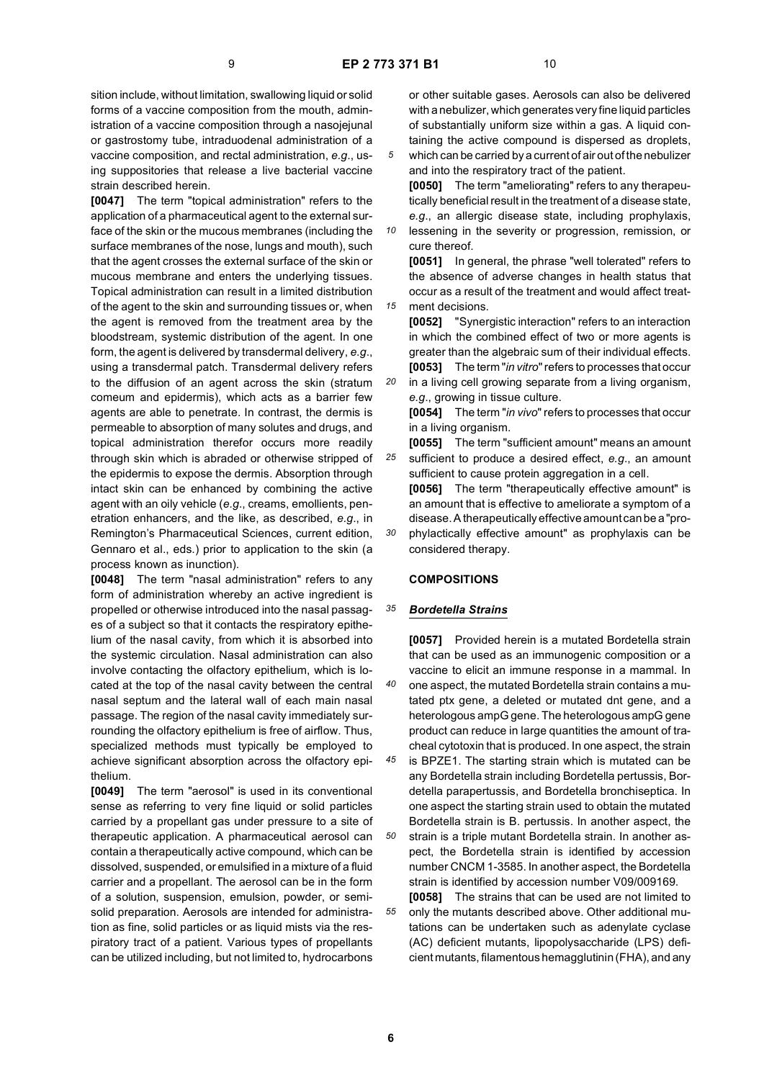*15*

sition include, without limitation, swallowing liquid or solid forms of a vaccine composition from the mouth, administration of a vaccine composition through a nasojejunal or gastrostomy tube, intraduodenal administration of a vaccine composition, and rectal administration, *e.g*., using suppositories that release a live bacterial vaccine strain described herein.

**[0047]** The term "topical administration" refers to the application of a pharmaceutical agent to the external surface of the skin or the mucous membranes (including the surface membranes of the nose, lungs and mouth), such that the agent crosses the external surface of the skin or mucous membrane and enters the underlying tissues. Topical administration can result in a limited distribution of the agent to the skin and surrounding tissues or, when the agent is removed from the treatment area by the bloodstream, systemic distribution of the agent. In one form, the agent is delivered by transdermal delivery, *e*.*g*., using a transdermal patch. Transdermal delivery refers to the diffusion of an agent across the skin (stratum comeum and epidermis), which acts as a barrier few agents are able to penetrate. In contrast, the dermis is permeable to absorption of many solutes and drugs, and topical administration therefor occurs more readily through skin which is abraded or otherwise stripped of the epidermis to expose the dermis. Absorption through intact skin can be enhanced by combining the active agent with an oily vehicle (*e.g*., creams, emollients, penetration enhancers, and the like, as described, *e.g*., in Remington's Pharmaceutical Sciences, current edition, Gennaro et al., eds.) prior to application to the skin (a process known as inunction).

**[0048]** The term "nasal administration" refers to any form of administration whereby an active ingredient is propelled or otherwise introduced into the nasal passages of a subject so that it contacts the respiratory epithelium of the nasal cavity, from which it is absorbed into the systemic circulation. Nasal administration can also involve contacting the olfactory epithelium, which is located at the top of the nasal cavity between the central nasal septum and the lateral wall of each main nasal passage. The region of the nasal cavity immediately surrounding the olfactory epithelium is free of airflow. Thus, specialized methods must typically be employed to achieve significant absorption across the olfactory epithelium.

**[0049]** The term "aerosol" is used in its conventional sense as referring to very fine liquid or solid particles carried by a propellant gas under pressure to a site of therapeutic application. A pharmaceutical aerosol can contain a therapeutically active compound, which can be dissolved, suspended, or emulsified in a mixture of a fluid carrier and a propellant. The aerosol can be in the form of a solution, suspension, emulsion, powder, or semisolid preparation. Aerosols are intended for administration as fine, solid particles or as liquid mists via the respiratory tract of a patient. Various types of propellants can be utilized including, but not limited to, hydrocarbons

or other suitable gases. Aerosols can also be delivered with a nebulizer, which generates very fine liquid particles of substantially uniform size within a gas. A liquid containing the active compound is dispersed as droplets, which can be carried by a current of air out of the nebulizer

and into the respiratory tract of the patient. **[0050]** The term "ameliorating" refers to any therapeutically beneficial result in the treatment of a disease state, *e.g*., an allergic disease state, including prophylaxis,

*10* lessening in the severity or progression, remission, or cure thereof.

**[0051]** In general, the phrase "well tolerated" refers to the absence of adverse changes in health status that occur as a result of the treatment and would affect treatment decisions.

**[0052]** "Synergistic interaction" refers to an interaction in which the combined effect of two or more agents is greater than the algebraic sum of their individual effects. **[0053]** The term "*in vitro*" refers to processes that occur

*20* in a living cell growing separate from a living organism, *e.g*., growing in tissue culture.

**[0054]** The term "*in vivo*" refers to processes that occur in a living organism.

- *25* **[0055]** The term "sufficient amount" means an amount sufficient to produce a desired effect, *e.g*., an amount
- *30* sufficient to cause protein aggregation in a cell. **[0056]** The term "therapeutically effective amount" is an amount that is effective to ameliorate a symptom of a disease. A therapeutically effective amount can be a "prophylactically effective amount" as prophylaxis can be considered therapy.

#### **COMPOSITIONS**

#### *35 Bordetella Strains*

**[0057]** Provided herein is a mutated Bordetella strain that can be used as an immunogenic composition or a vaccine to elicit an immune response in a mammal. In one aspect, the mutated Bordetella strain contains a mutated ptx gene, a deleted or mutated dnt gene, and a heterologous ampG gene. The heterologous ampG gene product can reduce in large quantities the amount of tracheal cytotoxin that is produced. In one aspect, the strain

*45* is BPZE1. The starting strain which is mutated can be any Bordetella strain including Bordetella pertussis, Bordetella parapertussis, and Bordetella bronchiseptica. In one aspect the starting strain used to obtain the mutated Bordetella strain is B. pertussis. In another aspect, the

*50* strain is a triple mutant Bordetella strain. In another aspect, the Bordetella strain is identified by accession number CNCM 1-3585. In another aspect, the Bordetella strain is identified by accession number V09/009169.

*55* **[0058]** The strains that can be used are not limited to only the mutants described above. Other additional mutations can be undertaken such as adenylate cyclase (AC) deficient mutants, lipopolysaccharide (LPS) deficient mutants, filamentous hemagglutinin (FHA), and any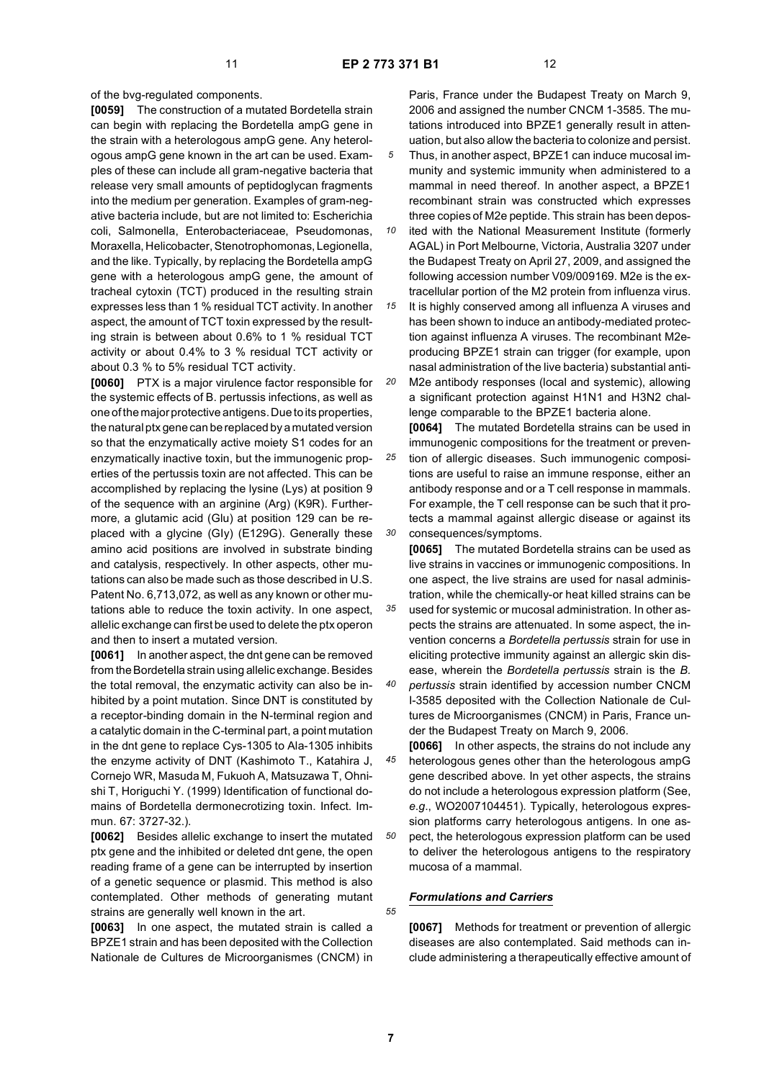of the bvg-regulated components.

**[0059]** The construction of a mutated Bordetella strain can begin with replacing the Bordetella ampG gene in the strain with a heterologous ampG gene. Any heterologous ampG gene known in the art can be used. Examples of these can include all gram-negative bacteria that release very small amounts of peptidoglycan fragments into the medium per generation. Examples of gram-negative bacteria include, but are not limited to: Escherichia coli, Salmonella, Enterobacteriaceae, Pseudomonas, Moraxella, Helicobacter, Stenotrophomonas, Legionella, and the like. Typically, by replacing the Bordetella ampG gene with a heterologous ampG gene, the amount of tracheal cytoxin (TCT) produced in the resulting strain expresses less than 1 % residual TCT activity. In another aspect, the amount of TCT toxin expressed by the resulting strain is between about 0.6% to 1 % residual TCT activity or about 0.4% to 3 % residual TCT activity or about 0.3 % to 5% residual TCT activity.

**[0060]** PTX is a major virulence factor responsible for the systemic effects of B. pertussis infections, as well as one of the major protective antigens. Due to its properties, the natural ptx gene can be replaced by a mutated version so that the enzymatically active moiety S1 codes for an enzymatically inactive toxin, but the immunogenic properties of the pertussis toxin are not affected. This can be accomplished by replacing the lysine (Lys) at position 9 of the sequence with an arginine (Arg) (K9R). Furthermore, a glutamic acid (Glu) at position 129 can be replaced with a glycine (GIy) (E129G). Generally these amino acid positions are involved in substrate binding and catalysis, respectively. In other aspects, other mutations can also be made such as those described in U.S. Patent No. 6,713,072, as well as any known or other mutations able to reduce the toxin activity. In one aspect, allelic exchange can first be used to delete the ptx operon and then to insert a mutated version.

**[0061]** In another aspect, the dnt gene can be removed from the Bordetella strain using allelic exchange. Besides the total removal, the enzymatic activity can also be inhibited by a point mutation. Since DNT is constituted by a receptor-binding domain in the N-terminal region and a catalytic domain in the C-terminal part, a point mutation in the dnt gene to replace Cys-1305 to Ala-1305 inhibits the enzyme activity of DNT (Kashimoto T., Katahira J, Cornejo WR, Masuda M, Fukuoh A, Matsuzawa T, Ohnishi T, Horiguchi Y. (1999) Identification of functional domains of Bordetella dermonecrotizing toxin. Infect. Immun. 67: 3727-32.).

**[0062]** Besides allelic exchange to insert the mutated ptx gene and the inhibited or deleted dnt gene, the open reading frame of a gene can be interrupted by insertion of a genetic sequence or plasmid. This method is also contemplated. Other methods of generating mutant strains are generally well known in the art.

**[0063]** In one aspect, the mutated strain is called a BPZE1 strain and has been deposited with the Collection Nationale de Cultures de Microorganismes (CNCM) in Paris, France under the Budapest Treaty on March 9, 2006 and assigned the number CNCM 1-3585. The mutations introduced into BPZE1 generally result in attenuation, but also allow the bacteria to colonize and persist.

*5* Thus, in another aspect, BPZE1 can induce mucosal immunity and systemic immunity when administered to a mammal in need thereof. In another aspect, a BPZE1 recombinant strain was constructed which expresses three copies of M2e peptide. This strain has been depos-

*10* ited with the National Measurement Institute (formerly AGAL) in Port Melbourne, Victoria, Australia 3207 under the Budapest Treaty on April 27, 2009, and assigned the following accession number V09/009169. M2e is the extracellular portion of the M2 protein from influenza virus.

*15* It is highly conserved among all influenza A viruses and has been shown to induce an antibody-mediated protection against influenza A viruses. The recombinant M2eproducing BPZE1 strain can trigger (for example, upon nasal administration of the live bacteria) substantial anti-

*20* M2e antibody responses (local and systemic), allowing a significant protection against H1N1 and H3N2 challenge comparable to the BPZE1 bacteria alone.

**[0064]** The mutated Bordetella strains can be used in immunogenic compositions for the treatment or preven-

*25 30* tion of allergic diseases. Such immunogenic compositions are useful to raise an immune response, either an antibody response and or a T cell response in mammals. For example, the T cell response can be such that it protects a mammal against allergic disease or against its consequences/symptoms.

**[0065]** The mutated Bordetella strains can be used as live strains in vaccines or immunogenic compositions. In one aspect, the live strains are used for nasal administration, while the chemically-or heat killed strains can be

*35* used for systemic or mucosal administration. In other aspects the strains are attenuated. In some aspect, the invention concerns a *Bordetella pertussis* strain for use in eliciting protective immunity against an allergic skin disease, wherein the *Bordetella pertussis* strain is the *B.*

*40 pertussis* strain identified by accession number CNCM I-3585 deposited with the Collection Nationale de Cultures de Microorganismes (CNCM) in Paris, France under the Budapest Treaty on March 9, 2006.

*45 50* **[0066]** In other aspects, the strains do not include any heterologous genes other than the heterologous ampG gene described above. In yet other aspects, the strains do not include a heterologous expression platform (See, *e*.*g*., WO2007104451). Typically, heterologous expression platforms carry heterologous antigens. In one aspect, the heterologous expression platform can be used to deliver the heterologous antigens to the respiratory mucosa of a mammal.

# *Formulations and Carriers*

**[0067]** Methods for treatment or prevention of allergic diseases are also contemplated. Said methods can include administering a therapeutically effective amount of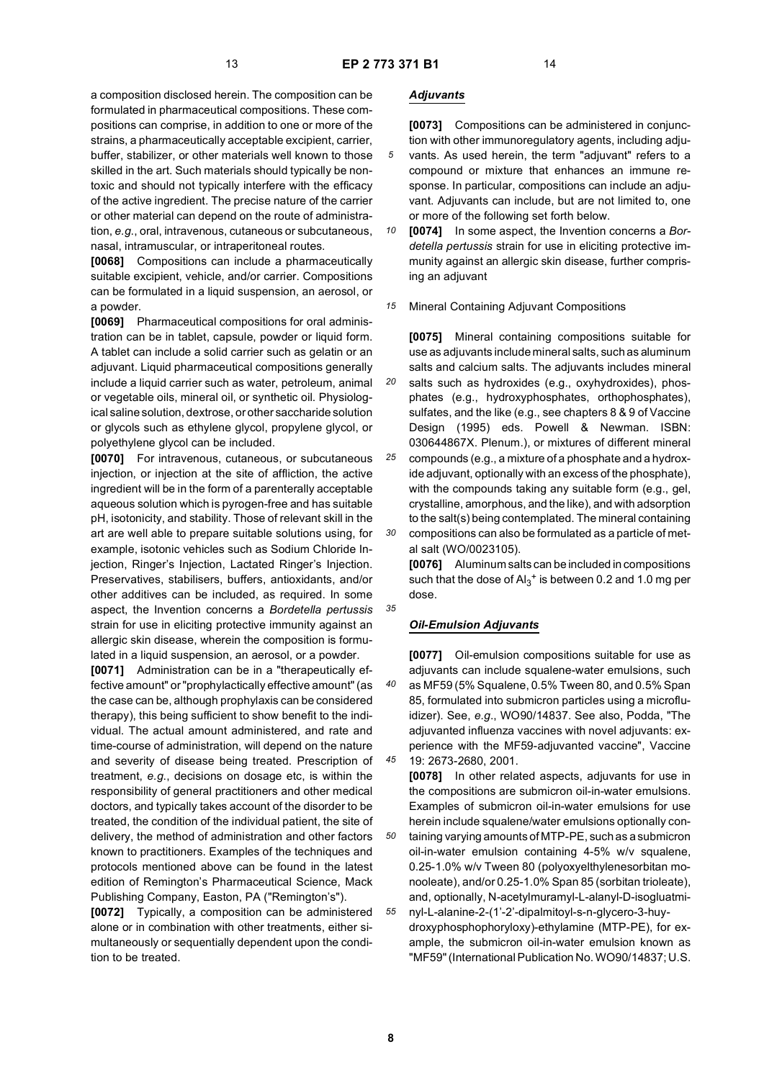*25*

*35*

*40*

*45*

a composition disclosed herein. The composition can be formulated in pharmaceutical compositions. These compositions can comprise, in addition to one or more of the strains, a pharmaceutically acceptable excipient, carrier, buffer, stabilizer, or other materials well known to those skilled in the art. Such materials should typically be nontoxic and should not typically interfere with the efficacy of the active ingredient. The precise nature of the carrier or other material can depend on the route of administration, *e.g*., oral, intravenous, cutaneous or subcutaneous, nasal, intramuscular, or intraperitoneal routes.

**[0068]** Compositions can include a pharmaceutically suitable excipient, vehicle, and/or carrier. Compositions can be formulated in a liquid suspension, an aerosol, or a powder.

**[0069]** Pharmaceutical compositions for oral administration can be in tablet, capsule, powder or liquid form. A tablet can include a solid carrier such as gelatin or an adjuvant. Liquid pharmaceutical compositions generally include a liquid carrier such as water, petroleum, animal or vegetable oils, mineral oil, or synthetic oil. Physiological saline solution, dextrose, or other saccharide solution or glycols such as ethylene glycol, propylene glycol, or polyethylene glycol can be included.

**[0070]** For intravenous, cutaneous, or subcutaneous injection, or injection at the site of affliction, the active ingredient will be in the form of a parenterally acceptable aqueous solution which is pyrogen-free and has suitable pH, isotonicity, and stability. Those of relevant skill in the art are well able to prepare suitable solutions using, for example, isotonic vehicles such as Sodium Chloride Injection, Ringer's Injection, Lactated Ringer's Injection. Preservatives, stabilisers, buffers, antioxidants, and/or other additives can be included, as required. In some aspect, the Invention concerns a *Bordetella pertussis* strain for use in eliciting protective immunity against an allergic skin disease, wherein the composition is formulated in a liquid suspension, an aerosol, or a powder.

**[0071]** Administration can be in a "therapeutically effective amount" or "prophylactically effective amount" (as the case can be, although prophylaxis can be considered therapy), this being sufficient to show benefit to the individual. The actual amount administered, and rate and time-course of administration, will depend on the nature and severity of disease being treated. Prescription of treatment, *e.g*., decisions on dosage etc, is within the responsibility of general practitioners and other medical doctors, and typically takes account of the disorder to be treated, the condition of the individual patient, the site of delivery, the method of administration and other factors known to practitioners. Examples of the techniques and protocols mentioned above can be found in the latest edition of Remington's Pharmaceutical Science, Mack Publishing Company, Easton, PA ("Remington's").

**[0072]** Typically, a composition can be administered alone or in combination with other treatments, either simultaneously or sequentially dependent upon the condition to be treated.

# *Adjuvants*

**[0073]** Compositions can be administered in conjunction with other immunoregulatory agents, including adju-

- *5* vants. As used herein, the term "adjuvant" refers to a compound or mixture that enhances an immune response. In particular, compositions can include an adjuvant. Adjuvants can include, but are not limited to, one or more of the following set forth below.
- *10* **[0074]** In some aspect, the Invention concerns a *Bordetella pertussis* strain for use in eliciting protective immunity against an allergic skin disease, further comprising an adjuvant
- *15* Mineral Containing Adjuvant Compositions

**[0075]** Mineral containing compositions suitable for use as adjuvants include mineral salts, such as aluminum salts and calcium salts. The adjuvants includes mineral salts such as hydroxides (e.g., oxyhydroxides), phosphates (e.g., hydroxyphosphates, orthophosphates),

sulfates, and the like (e.g., see chapters 8 & 9 of Vaccine Design (1995) eds. Powell & Newman. ISBN: 030644867X. Plenum.), or mixtures of different mineral compounds (e.g., a mixture of a phosphate and a hydrox-

*30* ide adjuvant, optionally with an excess of the phosphate), with the compounds taking any suitable form (e.g., gel, crystalline, amorphous, and the like), and with adsorption to the salt(s) being contemplated. The mineral containing compositions can also be formulated as a particle of metal salt (WO/0023105).

**[0076]** Aluminum salts can be included in compositions such that the dose of  $\mathsf{Al}_3^+$  is between 0.2 and 1.0 mg per dose.

#### *Oil-Emulsion Adjuvants*

**[0077]** Oil-emulsion compositions suitable for use as adjuvants can include squalene-water emulsions, such as MF59 (5% Squalene, 0.5% Tween 80, and 0.5% Span 85, formulated into submicron particles using a microfluidizer). See, *e.g*., WO90/14837. See also, Podda, "The adjuvanted influenza vaccines with novel adjuvants: experience with the MF59-adjuvanted vaccine", Vaccine 19: 2673-2680, 2001.

**[0078]** In other related aspects, adjuvants for use in the compositions are submicron oil-in-water emulsions. Examples of submicron oil-in-water emulsions for use herein include squalene/water emulsions optionally con-

*50 55* taining varying amounts of MTP-PE, such as a submicron oil-in-water emulsion containing 4-5% w/v squalene, 0.25-1.0% w/v Tween 80 (polyoxyelthylenesorbitan monooleate), and/or 0.25-1.0% Span 85 (sorbitan trioleate), and, optionally, N-acetylmuramyl-L-alanyl-D-isogluatmi-

nyl-L-alanine-2-(1'-2'-dipalmitoyl-s-n-glycero-3-huydroxyphosphophoryloxy)-ethylamine (MTP-PE), for example, the submicron oil-in-water emulsion known as "MF59" (International Publication No. WO90/14837; U.S.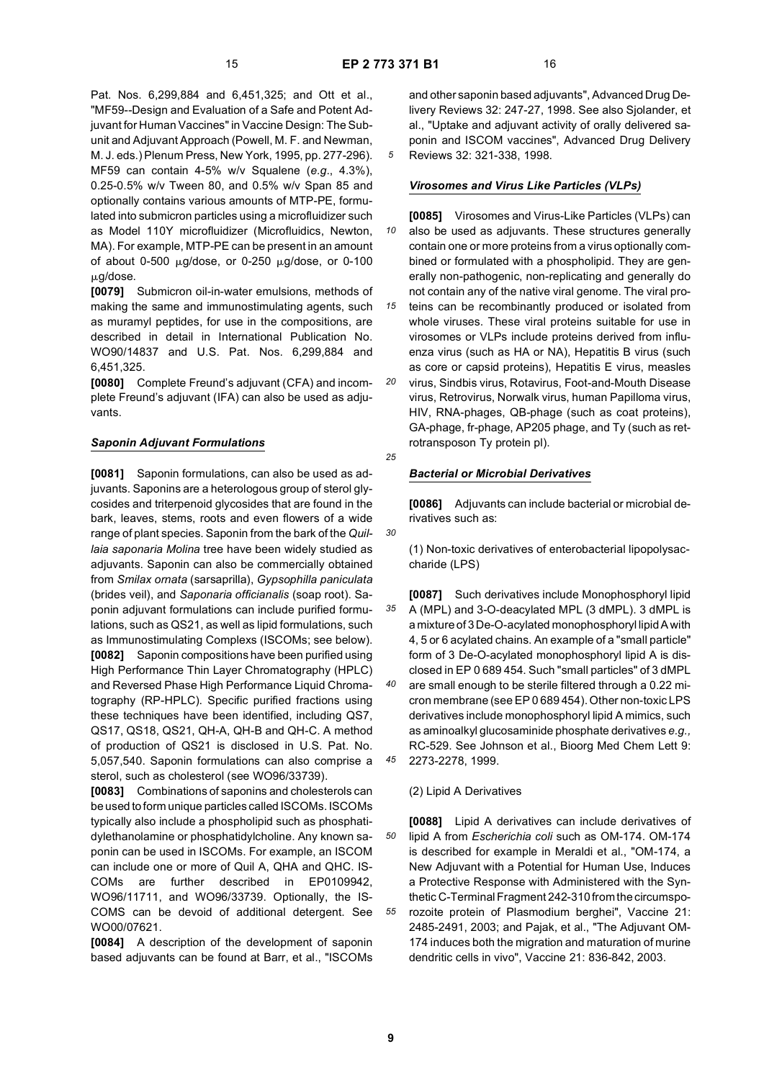"MF59--Design and Evaluation of a Safe and Potent Adjuvant for Human Vaccines" in Vaccine Design: The Subunit and Adjuvant Approach (Powell, M. F. and Newman, M. J. eds.) Plenum Press, New York, 1995, pp. 277-296). MF59 can contain 4-5% w/v Squalene (*e.g*., 4.3%), 0.25-0.5% w/v Tween 80, and 0.5% w/v Span 85 and optionally contains various amounts of MTP-PE, formulated into submicron particles using a microfluidizer such as Model 110Y microfluidizer (Microfluidics, Newton, MA). For example, MTP-PE can be present in an amount of about 0-500  $\mu$ g/dose, or 0-250  $\mu$ g/dose, or 0-100  $\mu$ g/dose.

**[0079]** Submicron oil-in-water emulsions, methods of making the same and immunostimulating agents, such as muramyl peptides, for use in the compositions, are described in detail in International Publication No. WO90/14837 and U.S. Pat. Nos. 6,299,884 and 6,451,325.

**[0080]** Complete Freund's adjuvant (CFA) and incomplete Freund's adjuvant (IFA) can also be used as adjuvants.

# *Saponin Adjuvant Formulations*

**[0081]** Saponin formulations, can also be used as adjuvants. Saponins are a heterologous group of sterol glycosides and triterpenoid glycosides that are found in the bark, leaves, stems, roots and even flowers of a wide range of plant species. Saponin from the bark of the *Quillaia saponaria Molina* tree have been widely studied as adjuvants. Saponin can also be commercially obtained from *Smilax ornata* (sarsaprilla), *Gypsophilla paniculata* (brides veil), and *Saponaria officianalis* (soap root). Saponin adjuvant formulations can include purified formulations, such as QS21, as well as lipid formulations, such as Immunostimulating Complexs (ISCOMs; see below). **[0082]** Saponin compositions have been purified using High Performance Thin Layer Chromatography (HPLC) and Reversed Phase High Performance Liquid Chromatography (RP-HPLC). Specific purified fractions using these techniques have been identified, including QS7, QS17, QS18, QS21, QH-A, QH-B and QH-C. A method of production of QS21 is disclosed in U.S. Pat. No. 5,057,540. Saponin formulations can also comprise a sterol, such as cholesterol (see WO96/33739).

**[0083]** Combinations of saponins and cholesterols can be used to form unique particles called ISCOMs. ISCOMs typically also include a phospholipid such as phosphatidylethanolamine or phosphatidylcholine. Any known saponin can be used in ISCOMs. For example, an ISCOM can include one or more of Quil A, QHA and QHC. IS-COMs are further described in EP0109942, WO96/11711, and WO96/33739. Optionally, the IS-COMS can be devoid of additional detergent. See WO00/07621.

**[0084]** A description of the development of saponin based adjuvants can be found at Barr, et al., "ISCOMs and other saponin based adjuvants", Advanced Drug Delivery Reviews 32: 247-27, 1998. See also Sjolander, et al., "Uptake and adjuvant activity of orally delivered saponin and ISCOM vaccines", Advanced Drug Delivery Reviews 32: 321-338, 1998.

# *Virosomes and Virus Like Particles (VLPs)*

*10 15 20* **[0085]** Virosomes and Virus-Like Particles (VLPs) can also be used as adjuvants. These structures generally contain one or more proteins from a virus optionally combined or formulated with a phospholipid. They are generally non-pathogenic, non-replicating and generally do not contain any of the native viral genome. The viral proteins can be recombinantly produced or isolated from whole viruses. These viral proteins suitable for use in virosomes or VLPs include proteins derived from influenza virus (such as HA or NA), Hepatitis B virus (such as core or capsid proteins), Hepatitis E virus, measles virus, Sindbis virus, Rotavirus, Foot-and-Mouth Disease virus, Retrovirus, Norwalk virus, human Papilloma virus, HIV, RNA-phages, QB-phage (such as coat proteins), GA-phage, fr-phage, AP205 phage, and Ty (such as retrotransposon Ty protein pl).

*25*

*30*

## *Bacterial or Microbial Derivatives*

**[0086]** Adjuvants can include bacterial or microbial derivatives such as:

(1) Non-toxic derivatives of enterobacterial lipopolysaccharide (LPS)

*35 40 45* **[0087]** Such derivatives include Monophosphoryl lipid A (MPL) and 3-O-deacylated MPL (3 dMPL). 3 dMPL is a mixture of 3 De-O-acylated monophosphoryl lipid A with 4, 5 or 6 acylated chains. An example of a "small particle" form of 3 De-O-acylated monophosphoryl lipid A is disclosed in EP 0 689 454. Such "small particles" of 3 dMPL are small enough to be sterile filtered through a 0.22 micron membrane (see EP 0 689 454). Other non-toxic LPS derivatives include monophosphoryl lipid A mimics, such as aminoalkyl glucosaminide phosphate derivatives *e.g.,* RC-529. See Johnson et al., Bioorg Med Chem Lett 9: 2273-2278, 1999.

# (2) Lipid A Derivatives

*50 55* **[0088]** Lipid A derivatives can include derivatives of lipid A from *Escherichia coli* such as OM-174. OM-174 is described for example in Meraldi et al., "OM-174, a New Adjuvant with a Potential for Human Use, Induces a Protective Response with Administered with the Synthetic C-Terminal Fragment 242-310 from the circumsporozoite protein of Plasmodium berghei", Vaccine 21: 2485-2491, 2003; and Pajak, et al., "The Adjuvant OM-174 induces both the migration and maturation of murine dendritic cells in vivo", Vaccine 21: 836-842, 2003.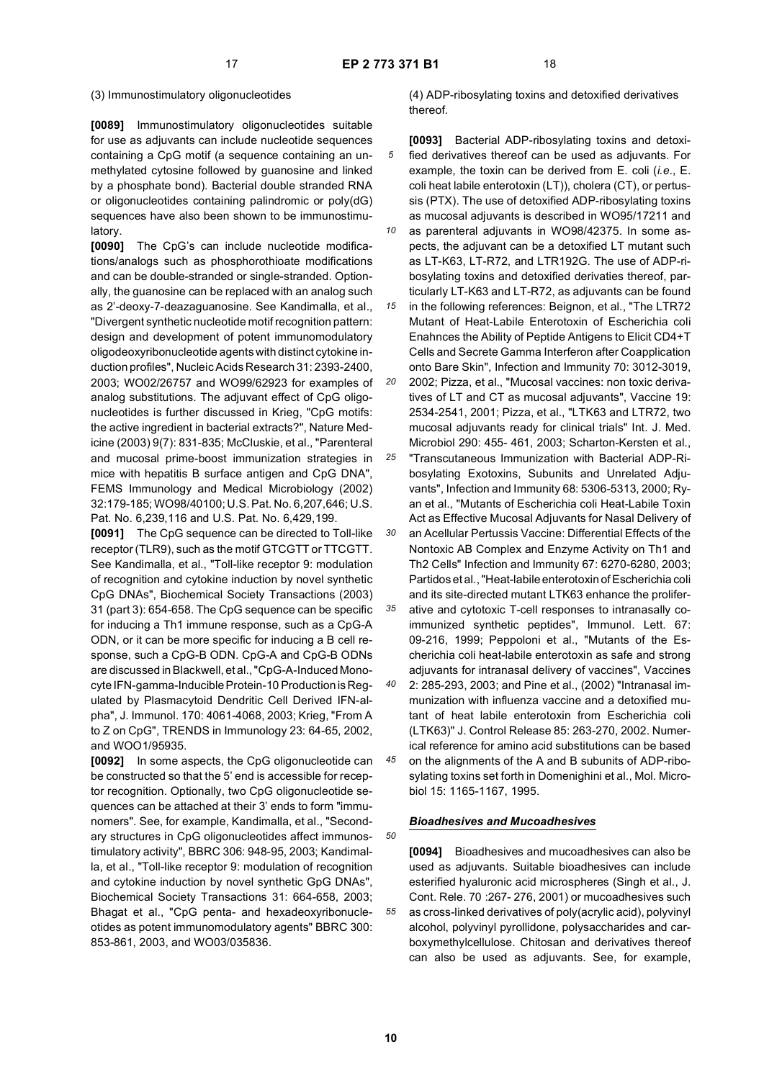# (3) Immunostimulatory oligonucleotides

**[0089]** Immunostimulatory oligonucleotides suitable for use as adjuvants can include nucleotide sequences containing a CpG motif (a sequence containing an unmethylated cytosine followed by guanosine and linked by a phosphate bond). Bacterial double stranded RNA or oligonucleotides containing palindromic or poly(dG) sequences have also been shown to be immunostimulatory.

**[0090]** The CpG's can include nucleotide modifications/analogs such as phosphorothioate modifications and can be double-stranded or single-stranded. Optionally, the guanosine can be replaced with an analog such as 2'-deoxy-7-deazaguanosine. See Kandimalla, et al., "Divergent synthetic nucleotide motif recognition pattern: design and development of potent immunomodulatory oligodeoxyribonucleotide agents with distinct cytokine induction profiles", Nucleic Acids Research 31: 2393-2400, 2003; WO02/26757 and WO99/62923 for examples of analog substitutions. The adjuvant effect of CpG oligonucleotides is further discussed in Krieg, "CpG motifs: the active ingredient in bacterial extracts?", Nature Medicine (2003) 9(7): 831-835; McCluskie, et al., "Parenteral and mucosal prime-boost immunization strategies in mice with hepatitis B surface antigen and CpG DNA", FEMS Immunology and Medical Microbiology (2002) 32:179-185; WO98/40100; U.S. Pat. No. 6,207,646; U.S. Pat. No. 6,239,116 and U.S. Pat. No. 6,429,199.

**[0091]** The CpG sequence can be directed to Toll-like receptor (TLR9), such as the motif GTCGTT or TTCGTT. See Kandimalla, et al., "Toll-like receptor 9: modulation of recognition and cytokine induction by novel synthetic CpG DNAs", Biochemical Society Transactions (2003) 31 (part 3): 654-658. The CpG sequence can be specific for inducing a Th1 immune response, such as a CpG-A ODN, or it can be more specific for inducing a B cell response, such a CpG-B ODN. CpG-A and CpG-B ODNs are discussed in Blackwell, et al., "CpG-A-Induced Monocyte IFN-gamma-Inducible Protein-10 Production is Regulated by Plasmacytoid Dendritic Cell Derived IFN-alpha", J. Immunol. 170: 4061-4068, 2003; Krieg, "From A to Z on CpG", TRENDS in Immunology 23: 64-65, 2002, and WOO1/95935.

**[0092]** In some aspects, the CpG oligonucleotide can be constructed so that the 5' end is accessible for receptor recognition. Optionally, two CpG oligonucleotide sequences can be attached at their 3' ends to form "immunomers". See, for example, Kandimalla, et al., "Secondary structures in CpG oligonucleotides affect immunostimulatory activity", BBRC 306: 948-95, 2003; Kandimalla, et al., "Toll-like receptor 9: modulation of recognition and cytokine induction by novel synthetic GpG DNAs", Biochemical Society Transactions 31: 664-658, 2003; Bhagat et al., "CpG penta- and hexadeoxyribonucleotides as potent immunomodulatory agents" BBRC 300: 853-861, 2003, and WO03/035836.

(4) ADP-ribosylating toxins and detoxified derivatives thereof.

- *5* **[0093]** Bacterial ADP-ribosylating toxins and detoxified derivatives thereof can be used as adjuvants. For example, the toxin can be derived from E. coli (*i.e*., E. coli heat labile enterotoxin (LT)), cholera (CT), or pertussis (PTX). The use of detoxified ADP-ribosylating toxins as mucosal adjuvants is described in WO95/17211 and
- *10* as parenteral adjuvants in WO98/42375. In some aspects, the adjuvant can be a detoxified LT mutant such as LT-K63, LT-R72, and LTR192G. The use of ADP-ribosylating toxins and detoxified derivaties thereof, particularly LT-K63 and LT-R72, as adjuvants can be found

*15* in the following references: Beignon, et al., "The LTR72 Mutant of Heat-Labile Enterotoxin of Escherichia coli Enahnces the Ability of Peptide Antigens to Elicit CD4+T Cells and Secrete Gamma Interferon after Coapplication onto Bare Skin", Infection and Immunity 70: 3012-3019,

- *20* 2002; Pizza, et al., "Mucosal vaccines: non toxic derivatives of LT and CT as mucosal adjuvants", Vaccine 19: 2534-2541, 2001; Pizza, et al., "LTK63 and LTR72, two mucosal adjuvants ready for clinical trials" Int. J. Med. Microbiol 290: 455- 461, 2003; Scharton-Kersten et al.,
- *25 30* "Transcutaneous Immunization with Bacterial ADP-Ribosylating Exotoxins, Subunits and Unrelated Adjuvants", Infection and Immunity 68: 5306-5313, 2000; Ryan et al., "Mutants of Escherichia coli Heat-Labile Toxin Act as Effective Mucosal Adjuvants for Nasal Delivery of
	- an Acellular Pertussis Vaccine: Differential Effects of the Nontoxic AB Complex and Enzyme Activity on Th1 and Th2 Cells" Infection and Immunity 67: 6270-6280, 2003; Partidos et al., "Heat-labile enterotoxin of Escherichia coli and its site-directed mutant LTK63 enhance the prolifer-
- *35* ative and cytotoxic T-cell responses to intranasally coimmunized synthetic peptides", Immunol. Lett. 67: 09-216, 1999; Peppoloni et al., "Mutants of the Escherichia coli heat-labile enterotoxin as safe and strong adjuvants for intranasal delivery of vaccines", Vaccines
- *40* 2: 285-293, 2003; and Pine et al., (2002) "Intranasal immunization with influenza vaccine and a detoxified mutant of heat labile enterotoxin from Escherichia coli (LTK63)" J. Control Release 85: 263-270, 2002. Numerical reference for amino acid substitutions can be based
- *45* on the alignments of the A and B subunits of ADP-ribosylating toxins set forth in Domenighini et al., Mol. Microbiol 15: 1165-1167, 1995.

# *Bioadhesives and Mucoadhesives*

**[0094]** Bioadhesives and mucoadhesives can also be used as adjuvants. Suitable bioadhesives can include esterified hyaluronic acid microspheres (Singh et al., J. Cont. Rele. 70 :267- 276, 2001) or mucoadhesives such as cross-linked derivatives of poly(acrylic acid), polyvinyl alcohol, polyvinyl pyrollidone, polysaccharides and carboxymethylcellulose. Chitosan and derivatives thereof can also be used as adjuvants. See, for example,

*50*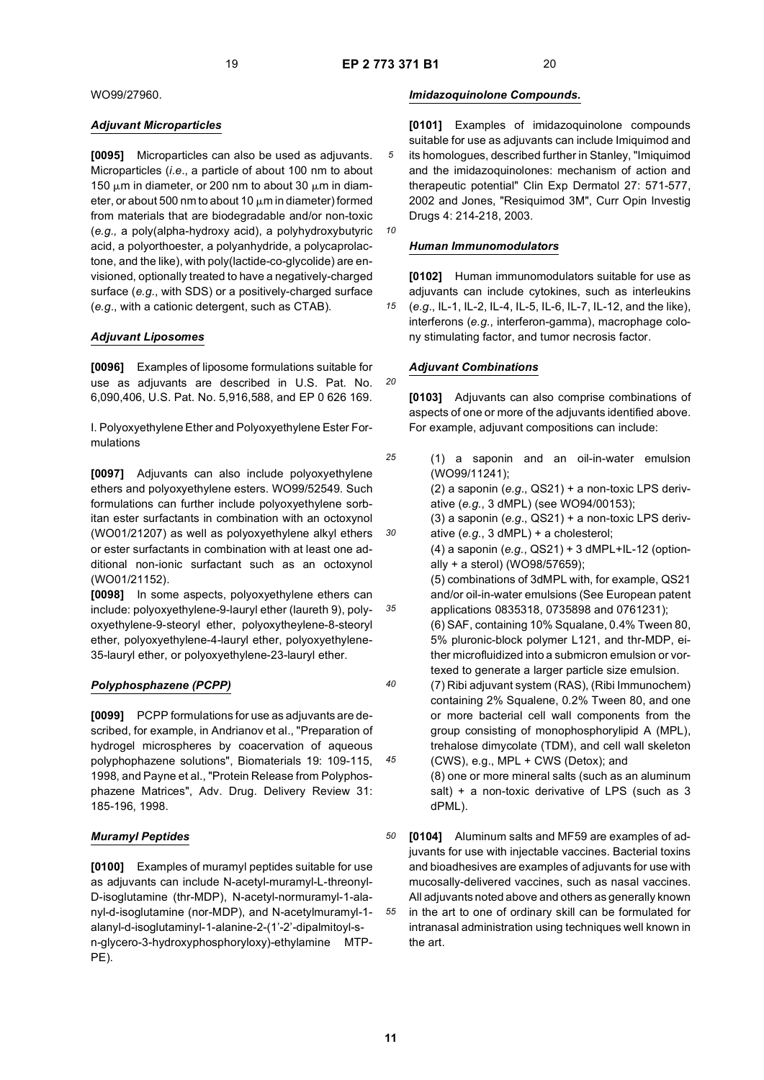*10*

*20*

WO99/27960.

# *Adjuvant Microparticles*

**[0095]** Microparticles can also be used as adjuvants. Microparticles (*i.e*., a particle of about 100 nm to about 150  $\mu$ m in diameter, or 200 nm to about 30  $\mu$ m in diameter, or about 500 nm to about 10  $\mu$ m in diameter) formed from materials that are biodegradable and/or non-toxic (*e.g.,* a poly(alpha-hydroxy acid), a polyhydroxybutyric acid, a polyorthoester, a polyanhydride, a polycaprolactone, and the like), with poly(lactide-co-glycolide) are envisioned, optionally treated to have a negatively-charged surface (*e.g.*, with SDS) or a positively-charged surface (*e.g*., with a cationic detergent, such as CTAB).

# *Adjuvant Liposomes*

**[0096]** Examples of liposome formulations suitable for use as adjuvants are described in U.S. Pat. No. 6,090,406, U.S. Pat. No. 5,916,588, and EP 0 626 169.

I. Polyoxyethylene Ether and Polyoxyethylene Ester Formulations

**[0097]** Adjuvants can also include polyoxyethylene ethers and polyoxyethylene esters. WO99/52549. Such formulations can further include polyoxyethylene sorbitan ester surfactants in combination with an octoxynol (WO01/21207) as well as polyoxyethylene alkyl ethers or ester surfactants in combination with at least one additional non-ionic surfactant such as an octoxynol (WO01/21152).

**[0098]** In some aspects, polyoxyethylene ethers can include: polyoxyethylene-9-lauryl ether (laureth 9), polyoxyethylene-9-steoryl ether, polyoxytheylene-8-steoryl ether, polyoxyethylene-4-lauryl ether, polyoxyethylene-35-lauryl ether, or polyoxyethylene-23-lauryl ether.

# *Polyphosphazene (PCPP)*

**[0099]** PCPP formulations for use as adjuvants are described, for example, in Andrianov et al., "Preparation of hydrogel microspheres by coacervation of aqueous polyphophazene solutions", Biomaterials 19: 109-115, 1998, and Payne et al., "Protein Release from Polyphosphazene Matrices", Adv. Drug. Delivery Review 31: 185-196, 1998.

# *Muramyl Peptides*

**[0100]** Examples of muramyl peptides suitable for use as adjuvants can include N-acetyl-muramyl-L-threonyl-D-isoglutamine (thr-MDP), N-acetyl-normuramyl-1-alanyl-d-isoglutamine (nor-MDP), and N-acetylmuramyl-1 alanyl-d-isoglutaminyl-1-alanine-2-(1'-2'-dipalmitoyl-sn-glycero-3-hydroxyphosphoryloxy)-ethylamine MTP-PE).

# *Imidazoquinolone Compounds.*

**[0101]** Examples of imidazoquinolone compounds suitable for use as adjuvants can include Imiquimod and its homologues, described further in Stanley, "Imiquimod and the imidazoquinolones: mechanism of action and therapeutic potential" Clin Exp Dermatol 27: 571-577, 2002 and Jones, "Resiquimod 3M", Curr Opin Investig Drugs 4: 214-218, 2003.

*Human Immunomodulators*

*15* **[0102]** Human immunomodulators suitable for use as adjuvants can include cytokines, such as interleukins (*e.g*., IL-1, IL-2, IL-4, IL-5, IL-6, IL-7, IL-12, and the like), interferons (*e.g*., interferon-gamma), macrophage colony stimulating factor, and tumor necrosis factor.

# *Adjuvant Combinations*

**[0103]** Adjuvants can also comprise combinations of aspects of one or more of the adjuvants identified above. For example, adjuvant compositions can include:

*25 30 35 40 45* (1) a saponin and an oil-in-water emulsion (WO99/11241); (2) a saponin (*e.g*., QS21) + a non-toxic LPS derivative (*e.g*., 3 dMPL) (see WO94/00153); (3) a saponin (*e.g*., QS21) + a non-toxic LPS derivative (*e.g*., 3 dMPL) + a cholesterol; (4) a saponin (*e.g*., QS21) + 3 dMPL+IL-12 (optionally + a sterol) (WO98/57659); (5) combinations of 3dMPL with, for example, QS21 and/or oil-in-water emulsions (See European patent applications 0835318, 0735898 and 0761231); (6) SAF, containing 10% Squalane, 0.4% Tween 80, 5% pluronic-block polymer L121, and thr-MDP, either microfluidized into a submicron emulsion or vortexed to generate a larger particle size emulsion. (7) Ribi adjuvant system (RAS), (Ribi Immunochem) containing 2% Squalene, 0.2% Tween 80, and one or more bacterial cell wall components from the group consisting of monophosphorylipid A (MPL), trehalose dimycolate (TDM), and cell wall skeleton (CWS), e.g., MPL + CWS (Detox); and (8) one or more mineral salts (such as an aluminum salt) + a non-toxic derivative of LPS (such as 3 dPML).

*50 55* **[0104]** Aluminum salts and MF59 are examples of adjuvants for use with injectable vaccines. Bacterial toxins and bioadhesives are examples of adjuvants for use with mucosally-delivered vaccines, such as nasal vaccines. All adjuvants noted above and others as generally known in the art to one of ordinary skill can be formulated for intranasal administration using techniques well known in the art.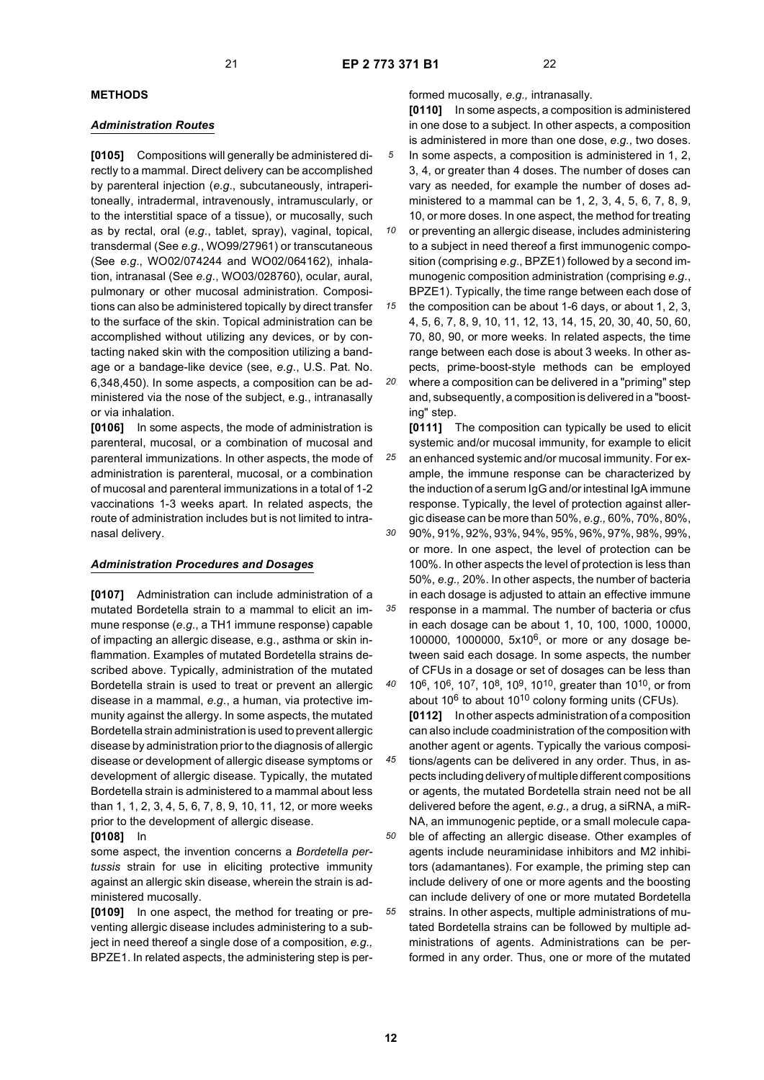*35*

*40*

# **METHODS**

### *Administration Routes*

**[0105]** Compositions will generally be administered directly to a mammal. Direct delivery can be accomplished by parenteral injection (*e.g*., subcutaneously, intraperitoneally, intradermal, intravenously, intramuscularly, or to the interstitial space of a tissue), or mucosally, such as by rectal, oral (*e.g*., tablet, spray), vaginal, topical, transdermal (See *e.g*., WO99/27961) or transcutaneous (See *e.g*., WO02/074244 and WO02/064162), inhalation, intranasal (See *e.g*., WO03/028760), ocular, aural, pulmonary or other mucosal administration. Compositions can also be administered topically by direct transfer to the surface of the skin. Topical administration can be accomplished without utilizing any devices, or by contacting naked skin with the composition utilizing a bandage or a bandage-like device (see, *e.g*., U.S. Pat. No. 6,348,450). In some aspects, a composition can be administered via the nose of the subject, e.g., intranasally or via inhalation.

**[0106]** In some aspects, the mode of administration is parenteral, mucosal, or a combination of mucosal and parenteral immunizations. In other aspects, the mode of administration is parenteral, mucosal, or a combination of mucosal and parenteral immunizations in a total of 1-2 vaccinations 1-3 weeks apart. In related aspects, the route of administration includes but is not limited to intranasal delivery.

#### *Administration Procedures and Dosages*

**[0107]** Administration can include administration of a mutated Bordetella strain to a mammal to elicit an immune response (*e*.*g*., a TH1 immune response) capable of impacting an allergic disease, e.g., asthma or skin inflammation. Examples of mutated Bordetella strains described above. Typically, administration of the mutated Bordetella strain is used to treat or prevent an allergic disease in a mammal, *e.g*., a human, via protective immunity against the allergy. In some aspects, the mutated Bordetella strain administration is used to prevent allergic disease by administration prior to the diagnosis of allergic disease or development of allergic disease symptoms or development of allergic disease. Typically, the mutated Bordetella strain is administered to a mammal about less than 1, 1, 2, 3, 4, 5, 6, 7, 8, 9, 10, 11, 12, or more weeks prior to the development of allergic disease.

# **[0108]** In

some aspect, the invention concerns a *Bordetella pertussis* strain for use in eliciting protective immunity against an allergic skin disease, wherein the strain is administered mucosally.

**[0109]** In one aspect, the method for treating or preventing allergic disease includes administering to a subject in need thereof a single dose of a composition, *e.g.,* BPZE1. In related aspects, the administering step is performed mucosally, *e.g.,* intranasally.

**[0110]** In some aspects, a composition is administered in one dose to a subject. In other aspects, a composition is administered in more than one dose, *e.g.,* two doses.

- *5* In some aspects, a composition is administered in 1, 2, 3, 4, or greater than 4 doses. The number of doses can vary as needed, for example the number of doses administered to a mammal can be 1, 2, 3, 4, 5, 6, 7, 8, 9, 10, or more doses. In one aspect, the method for treating
- *10* or preventing an allergic disease, includes administering to a subject in need thereof a first immunogenic composition (comprising *e*.*g*., BPZE1) followed by a second immunogenic composition administration (comprising *e*.*g*., BPZE1). Typically, the time range between each dose of

*15 20* the composition can be about 1-6 days, or about 1, 2, 3, 4, 5, 6, 7, 8, 9, 10, 11, 12, 13, 14, 15, 20, 30, 40, 50, 60, 70, 80, 90, or more weeks. In related aspects, the time range between each dose is about 3 weeks. In other aspects, prime-boost-style methods can be employed where a composition can be delivered in a "priming" step and, subsequently, a composition is delivered in a "boost-

*25* ing" step. **[0111]** The composition can typically be used to elicit systemic and/or mucosal immunity, for example to elicit an enhanced systemic and/or mucosal immunity. For example, the immune response can be characterized by the induction of a serum IgG and/or intestinal IgA immune response. Typically, the level of protection against allergic disease can be more than 50%, *e.g.,* 60%, 70%, 80%,

90%, 91%, 92%, 93%, 94%, 95%, 96%, 97%, 98%, 99%, or more. In one aspect, the level of protection can be 100%. In other aspects the level of protection is less than 50%, *e.g.,* 20%. In other aspects, the number of bacteria in each dosage is adjusted to attain an effective immune response in a mammal. The number of bacteria or cfus in each dosage can be about 1, 10, 100, 1000, 10000, 100000, 1000000, 5x106, or more or any dosage be-

tween said each dosage. In some aspects, the number of CFUs in a dosage or set of dosages can be less than 106, 106, 107, 108, 109, 1010, greater than 1010, or from about  $10^6$  to about  $10^{10}$  colony forming units (CFUs).

**[0112]** In other aspects administration of a composition can also include coadministration of the composition with another agent or agents. Typically the various composi-

*45* tions/agents can be delivered in any order. Thus, in aspects including delivery of multiple different compositions or agents, the mutated Bordetella strain need not be all delivered before the agent, *e.g.,* a drug, a siRNA, a miR-NA, an immunogenic peptide, or a small molecule capa-

*50 55* ble of affecting an allergic disease. Other examples of agents include neuraminidase inhibitors and M2 inhibitors (adamantanes). For example, the priming step can include delivery of one or more agents and the boosting can include delivery of one or more mutated Bordetella strains. In other aspects, multiple administrations of mutated Bordetella strains can be followed by multiple administrations of agents. Administrations can be performed in any order. Thus, one or more of the mutated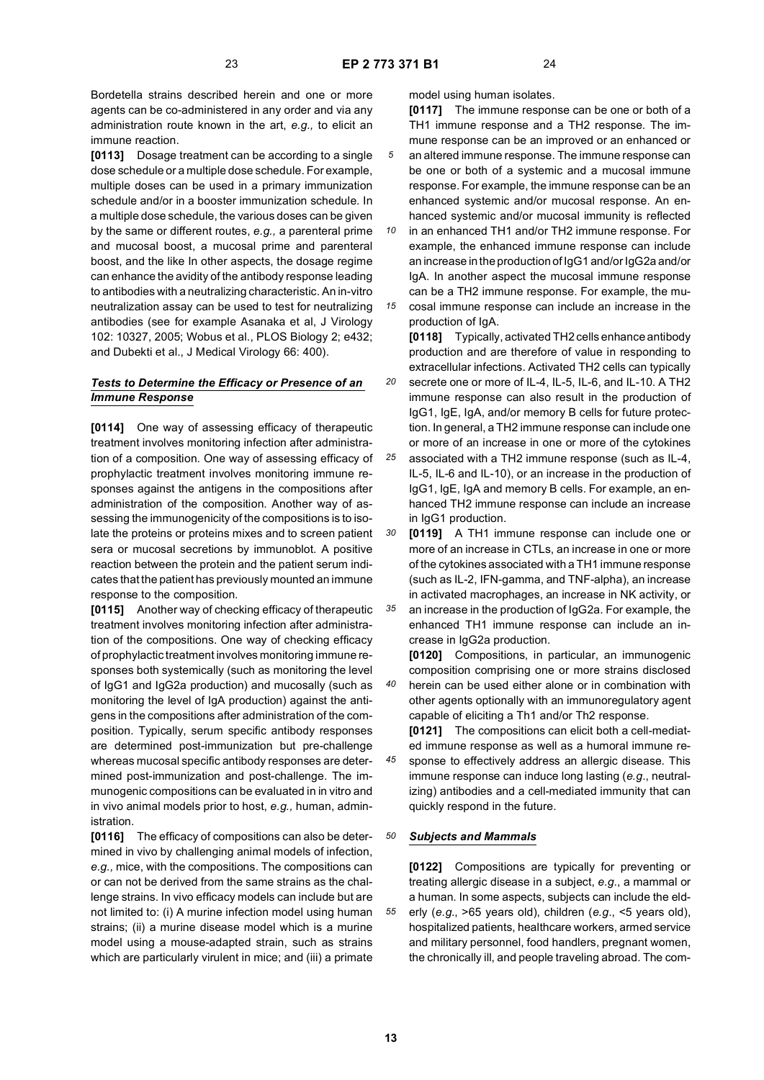Bordetella strains described herein and one or more agents can be co-administered in any order and via any administration route known in the art, *e.g.,* to elicit an immune reaction.

**[0113]** Dosage treatment can be according to a single dose schedule or a multiple dose schedule. For example, multiple doses can be used in a primary immunization schedule and/or in a booster immunization schedule. In a multiple dose schedule, the various doses can be given by the same or different routes, *e.g.,* a parenteral prime and mucosal boost, a mucosal prime and parenteral boost, and the like In other aspects, the dosage regime can enhance the avidity of the antibody response leading to antibodies with a neutralizing characteristic. An in-vitro neutralization assay can be used to test for neutralizing antibodies (see for example Asanaka et al, J Virology 102: 10327, 2005; Wobus et al., PLOS Biology 2; e432; and Dubekti et al., J Medical Virology 66: 400).

# *Tests to Determine the Efficacy or Presence of an Immune Response*

**[0114]** One way of assessing efficacy of therapeutic treatment involves monitoring infection after administration of a composition. One way of assessing efficacy of prophylactic treatment involves monitoring immune responses against the antigens in the compositions after administration of the composition. Another way of assessing the immunogenicity of the compositions is to isolate the proteins or proteins mixes and to screen patient sera or mucosal secretions by immunoblot. A positive reaction between the protein and the patient serum indicates that the patient has previously mounted an immune response to the composition.

**[0115]** Another way of checking efficacy of therapeutic treatment involves monitoring infection after administration of the compositions. One way of checking efficacy of prophylactic treatment involves monitoring immune responses both systemically (such as monitoring the level of IgG1 and IgG2a production) and mucosally (such as monitoring the level of IgA production) against the antigens in the compositions after administration of the composition. Typically, serum specific antibody responses are determined post-immunization but pre-challenge whereas mucosal specific antibody responses are determined post-immunization and post-challenge. The immunogenic compositions can be evaluated in in vitro and in vivo animal models prior to host, *e.g.,* human, administration.

**[0116]** The efficacy of compositions can also be determined in vivo by challenging animal models of infection, *e.g.,* mice, with the compositions. The compositions can or can not be derived from the same strains as the challenge strains. In vivo efficacy models can include but are not limited to: (i) A murine infection model using human strains; (ii) a murine disease model which is a murine model using a mouse-adapted strain, such as strains which are particularly virulent in mice; and (iii) a primate

model using human isolates.

**[0117]** The immune response can be one or both of a TH1 immune response and a TH2 response. The immune response can be an improved or an enhanced or an altered immune response. The immune response can be one or both of a systemic and a mucosal immune response. For example, the immune response can be an enhanced systemic and/or mucosal response. An enhanced systemic and/or mucosal immunity is reflected

*10* in an enhanced TH1 and/or TH2 immune response. For example, the enhanced immune response can include an increase in the production of IgG1 and/or IgG2a and/or IgA. In another aspect the mucosal immune response can be a TH2 immune response. For example, the mu-

*15* cosal immune response can include an increase in the production of IgA.

**[0118]** Typically, activated TH2 cells enhance antibody production and are therefore of value in responding to extracellular infections. Activated TH2 cells can typically

- *20* secrete one or more of IL-4, IL-5, IL-6, and IL-10. A TH2 immune response can also result in the production of IgG1, IgE, IgA, and/or memory B cells for future protection. In general, a TH2 immune response can include one or more of an increase in one or more of the cytokines
- *25* associated with a TH2 immune response (such as IL-4, IL-5, IL-6 and IL-10), or an increase in the production of IgG1, IgE, IgA and memory B cells. For example, an enhanced TH2 immune response can include an increase in IgG1 production.

*30 35* **[0119]** A TH1 immune response can include one or more of an increase in CTLs, an increase in one or more of the cytokines associated with a TH1 immune response (such as IL-2, IFN-gamma, and TNF-alpha), an increase in activated macrophages, an increase in NK activity, or

an increase in the production of IgG2a. For example, the enhanced TH1 immune response can include an increase in IgG2a production.

**[0120]** Compositions, in particular, an immunogenic composition comprising one or more strains disclosed herein can be used either alone or in combination with other agents optionally with an immunoregulatory agent capable of eliciting a Th1 and/or Th2 response.

**[0121]** The compositions can elicit both a cell-mediated immune response as well as a humoral immune re-

*45* sponse to effectively address an allergic disease. This immune response can induce long lasting (*e.g*., neutralizing) antibodies and a cell-mediated immunity that can quickly respond in the future.

#### *50 Subjects and Mammals*

**[0122]** Compositions are typically for preventing or treating allergic disease in a subject, *e.g*., a mammal or a human. In some aspects, subjects can include the elderly (*e.g*., >65 years old), children (*e.g*., <5 years old), hospitalized patients, healthcare workers, armed service and military personnel, food handlers, pregnant women, the chronically ill, and people traveling abroad. The com-

*55*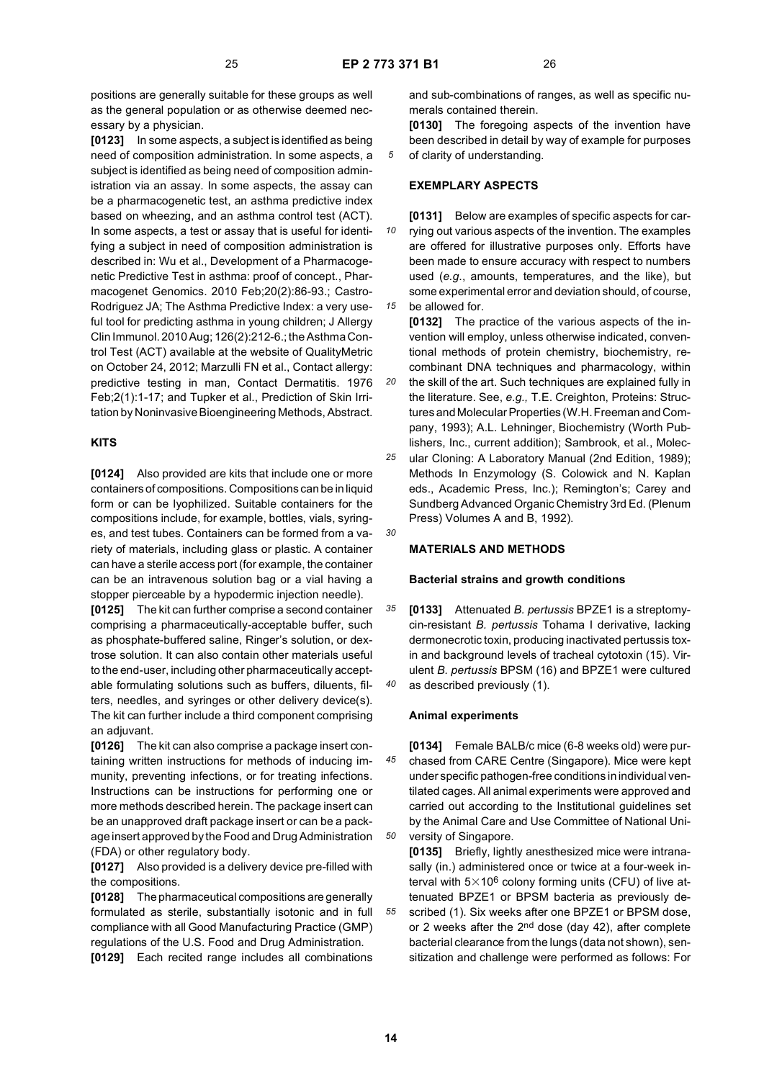*30*

positions are generally suitable for these groups as well as the general population or as otherwise deemed necessary by a physician.

**[0123]** In some aspects, a subject is identified as being need of composition administration. In some aspects, a subject is identified as being need of composition administration via an assay. In some aspects, the assay can be a pharmacogenetic test, an asthma predictive index based on wheezing, and an asthma control test (ACT). In some aspects, a test or assay that is useful for identifying a subject in need of composition administration is described in: Wu et al., Development of a Pharmacogenetic Predictive Test in asthma: proof of concept., Pharmacogenet Genomics. 2010 Feb;20(2):86-93.; Castro-Rodriguez JA; The Asthma Predictive Index: a very useful tool for predicting asthma in young children; J Allergy Clin Immunol. 2010 Aug; 126(2):212-6.; the Asthma Control Test (ACT) available at the website of QualityMetric on October 24, 2012; Marzulli FN et al., Contact allergy: predictive testing in man, Contact Dermatitis. 1976 Feb;2(1):1-17; and Tupker et al., Prediction of Skin Irritation by Noninvasive Bioengineering Methods, Abstract.

# **KITS**

**[0124]** Also provided are kits that include one or more containers of compositions. Compositions can be in liquid form or can be lyophilized. Suitable containers for the compositions include, for example, bottles, vials, syringes, and test tubes. Containers can be formed from a variety of materials, including glass or plastic. A container can have a sterile access port (for example, the container can be an intravenous solution bag or a vial having a stopper pierceable by a hypodermic injection needle).

**[0125]** The kit can further comprise a second container comprising a pharmaceutically-acceptable buffer, such as phosphate-buffered saline, Ringer's solution, or dextrose solution. It can also contain other materials useful to the end-user, including other pharmaceutically acceptable formulating solutions such as buffers, diluents, filters, needles, and syringes or other delivery device(s). The kit can further include a third component comprising an adjuvant.

**[0126]** The kit can also comprise a package insert containing written instructions for methods of inducing immunity, preventing infections, or for treating infections. Instructions can be instructions for performing one or more methods described herein. The package insert can be an unapproved draft package insert or can be a package insert approved by the Food and Drug Administration (FDA) or other regulatory body.

**[0127]** Also provided is a delivery device pre-filled with the compositions.

**[0128]** The pharmaceutical compositions are generally formulated as sterile, substantially isotonic and in full compliance with all Good Manufacturing Practice (GMP) regulations of the U.S. Food and Drug Administration.

**[0129]** Each recited range includes all combinations

and sub-combinations of ranges, as well as specific numerals contained therein.

**[0130]** The foregoing aspects of the invention have been described in detail by way of example for purposes of clarity of understanding.

#### **EXEMPLARY ASPECTS**

*10 15* **[0131]** Below are examples of specific aspects for carrying out various aspects of the invention. The examples are offered for illustrative purposes only. Efforts have been made to ensure accuracy with respect to numbers used (*e.g*., amounts, temperatures, and the like), but some experimental error and deviation should, of course, be allowed for.

**[0132]** The practice of the various aspects of the invention will employ, unless otherwise indicated, conventional methods of protein chemistry, biochemistry, recombinant DNA techniques and pharmacology, within

*20* the skill of the art. Such techniques are explained fully in the literature. See, *e.g.,* T.E. Creighton, Proteins: Structures and Molecular Properties (W.H. Freeman and Company, 1993); A.L. Lehninger, Biochemistry (Worth Publishers, Inc., current addition); Sambrook, et al., Molec-

*25* ular Cloning: A Laboratory Manual (2nd Edition, 1989); Methods In Enzymology (S. Colowick and N. Kaplan eds., Academic Press, Inc.); Remington's; Carey and Sundberg Advanced Organic Chemistry 3rd Ed. (Plenum Press) Volumes A and B, 1992).

# **MATERIALS AND METHODS**

# **Bacterial strains and growth conditions**

*35 40* **[0133]** Attenuated *B. pertussis* BPZE1 is a streptomycin-resistant *B. pertussis* Tohama I derivative, lacking dermonecrotic toxin, producing inactivated pertussis toxin and background levels of tracheal cytotoxin (15). Virulent *B. pertussis* BPSM (16) and BPZE1 were cultured as described previously (1).

# **Animal experiments**

*45 50* **[0134]** Female BALB/c mice (6-8 weeks old) were purchased from CARE Centre (Singapore). Mice were kept under specific pathogen-free conditions in individual ventilated cages. All animal experiments were approved and carried out according to the Institutional guidelines set by the Animal Care and Use Committee of National University of Singapore.

**[0135]** Briefly, lightly anesthesized mice were intranasally (in.) administered once or twice at a four-week interval with  $5\times10^6$  colony forming units (CFU) of live attenuated BPZE1 or BPSM bacteria as previously described (1). Six weeks after one BPZE1 or BPSM dose, or 2 weeks after the  $2<sup>nd</sup>$  dose (day 42), after complete bacterial clearance from the lungs (data not shown), sensitization and challenge were performed as follows: For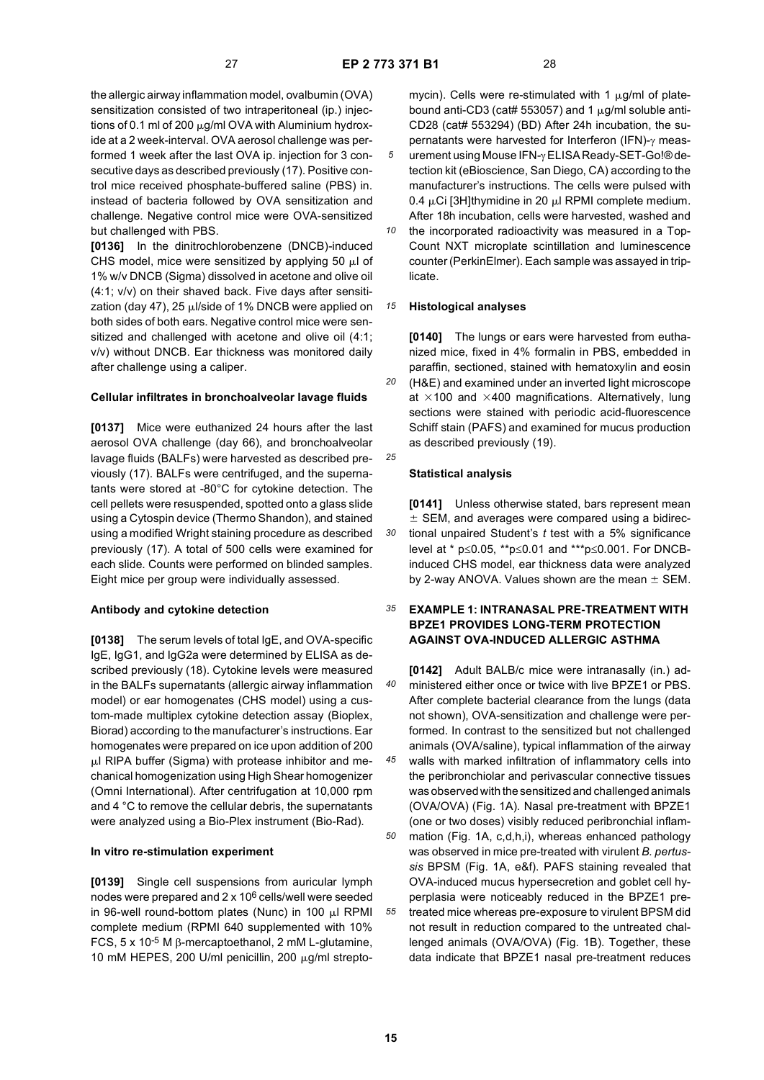*30*

the allergic airway inflammation model, ovalbumin (OVA) sensitization consisted of two intraperitoneal (ip.) injections of 0.1 ml of 200  $\mu$ g/ml OVA with Aluminium hydroxide at a 2 week-interval. OVA aerosol challenge was performed 1 week after the last OVA ip. injection for 3 consecutive days as described previously (17). Positive control mice received phosphate-buffered saline (PBS) in. instead of bacteria followed by OVA sensitization and challenge. Negative control mice were OVA-sensitized but challenged with PBS.

**[0136]** In the dinitrochlorobenzene (DNCB)-induced CHS model, mice were sensitized by applying 50  $\mu$ l of 1% w/v DNCB (Sigma) dissolved in acetone and olive oil (4:1; v/v) on their shaved back. Five days after sensitization (day 47), 25  $\mu$  //side of 1% DNCB were applied on both sides of both ears. Negative control mice were sensitized and challenged with acetone and olive oil (4:1; v/v) without DNCB. Ear thickness was monitored daily after challenge using a caliper.

#### **Cellular infiltrates in bronchoalveolar lavage fluids**

**[0137]** Mice were euthanized 24 hours after the last aerosol OVA challenge (day 66), and bronchoalveolar lavage fluids (BALFs) were harvested as described previously (17). BALFs were centrifuged, and the supernatants were stored at -80°C for cytokine detection. The cell pellets were resuspended, spotted onto a glass slide using a Cytospin device (Thermo Shandon), and stained using a modified Wright staining procedure as described previously (17). A total of 500 cells were examined for each slide. Counts were performed on blinded samples. Eight mice per group were individually assessed.

# **Antibody and cytokine detection**

**[0138]** The serum levels of total IgE, and OVA-specific IgE, IgG1, and IgG2a were determined by ELISA as described previously (18). Cytokine levels were measured in the BALFs supernatants (allergic airway inflammation model) or ear homogenates (CHS model) using a custom-made multiplex cytokine detection assay (Bioplex, Biorad) according to the manufacturer's instructions. Ear homogenates were prepared on ice upon addition of 200  $\mu$ I RIPA buffer (Sigma) with protease inhibitor and mechanical homogenization using High Shear homogenizer (Omni International). After centrifugation at 10,000 rpm and 4 °C to remove the cellular debris, the supernatants were analyzed using a Bio-Plex instrument (Bio-Rad).

# **In vitro re-stimulation experiment**

**[0139]** Single cell suspensions from auricular lymph nodes were prepared and 2 x 106 cells/well were seeded in 96-well round-bottom plates (Nunc) in 100  $\mu$ I RPMI complete medium (RPMI 640 supplemented with 10% FCS, 5 x 10-5 M β-mercaptoethanol, 2 mM L-glutamine, 10 mM HEPES, 200 U/ml penicillin, 200  $\mu$ g/ml streptomycin). Cells were re-stimulated with 1  $\mu$ g/ml of platebound anti-CD3 (cat# 553057) and 1  $\mu$ g/ml soluble anti-CD28 (cat# 553294) (BD) After 24h incubation, the supernatants were harvested for Interferon (IFN)-γ measurement using Mouse IFN-γ ELISA Ready-SET-Go!® detection kit (eBioscience, San Diego, CA) according to the manufacturer's instructions. The cells were pulsed with 0.4  $\mu$ Ci [3H]thymidine in 20  $\mu$ I RPMI complete medium. After 18h incubation, cells were harvested, washed and

*10* the incorporated radioactivity was measured in a Top-Count NXT microplate scintillation and luminescence counter (PerkinElmer). Each sample was assayed in triplicate.

#### *15* **Histological analyses**

*20 25* **[0140]** The lungs or ears were harvested from euthanized mice, fixed in 4% formalin in PBS, embedded in paraffin, sectioned, stained with hematoxylin and eosin (H&E) and examined under an inverted light microscope at  $\times$ 100 and  $\times$ 400 magnifications. Alternatively, lung sections were stained with periodic acid-fluorescence Schiff stain (PAFS) and examined for mucus production as described previously (19).

## **Statistical analysis**

**[0141]** Unless otherwise stated, bars represent mean  $±$  SEM, and averages were compared using a bidirectional unpaired Student's *t* test with a 5% significance level at \* p≤0.05, \*\*p≤0.01 and \*\*\*p≤0.001. For DNCBinduced CHS model, ear thickness data were analyzed by 2-way ANOVA. Values shown are the mean  $\pm$  SEM.

#### *35* **EXAMPLE 1: INTRANASAL PRE-TREATMENT WITH BPZE1 PROVIDES LONG-TERM PROTECTION AGAINST OVA-INDUCED ALLERGIC ASTHMA**

*40 45* **[0142]** Adult BALB/c mice were intranasally (in.) administered either once or twice with live BPZE1 or PBS. After complete bacterial clearance from the lungs (data not shown), OVA-sensitization and challenge were performed. In contrast to the sensitized but not challenged animals (OVA/saline), typical inflammation of the airway walls with marked infiltration of inflammatory cells into the peribronchiolar and perivascular connective tissues was observed with the sensitized and challenged animals

(OVA/OVA) (Fig. 1A). Nasal pre-treatment with BPZE1 (one or two doses) visibly reduced peribronchial inflammation (Fig. 1A, c,d,h,i), whereas enhanced pathology was observed in mice pre-treated with virulent *B. pertus-*

*55 sis* BPSM (Fig. 1A, e&f). PAFS staining revealed that OVA-induced mucus hypersecretion and goblet cell hyperplasia were noticeably reduced in the BPZE1 pretreated mice whereas pre-exposure to virulent BPSM did not result in reduction compared to the untreated challenged animals (OVA/OVA) (Fig. 1B). Together, these data indicate that BPZE1 nasal pre-treatment reduces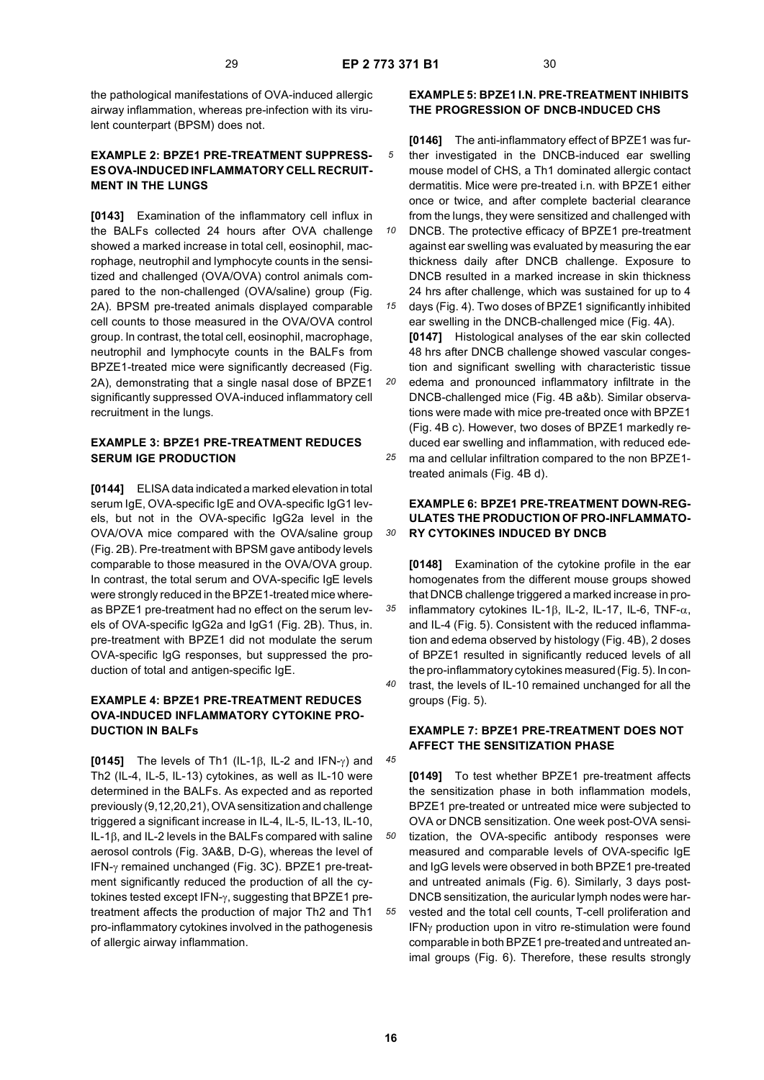*45*

the pathological manifestations of OVA-induced allergic airway inflammation, whereas pre-infection with its virulent counterpart (BPSM) does not.

# **EXAMPLE 2: BPZE1 PRE-TREATMENT SUPPRESS-ES OVA-INDUCED INFLAMMATORY CELL RECRUIT-MENT IN THE LUNGS**

**[0143]** Examination of the inflammatory cell influx in the BALFs collected 24 hours after OVA challenge showed a marked increase in total cell, eosinophil, macrophage, neutrophil and lymphocyte counts in the sensitized and challenged (OVA/OVA) control animals compared to the non-challenged (OVA/saline) group (Fig. 2A). BPSM pre-treated animals displayed comparable cell counts to those measured in the OVA/OVA control group. In contrast, the total cell, eosinophil, macrophage, neutrophil and lymphocyte counts in the BALFs from BPZE1-treated mice were significantly decreased (Fig. 2A), demonstrating that a single nasal dose of BPZE1 significantly suppressed OVA-induced inflammatory cell recruitment in the lungs.

# **EXAMPLE 3: BPZE1 PRE-TREATMENT REDUCES SERUM IGE PRODUCTION**

**[0144]** ELISA data indicated a marked elevation in total serum IgE, OVA-specific IgE and OVA-specific IgG1 levels, but not in the OVA-specific IgG2a level in the OVA/OVA mice compared with the OVA/saline group (Fig. 2B). Pre-treatment with BPSM gave antibody levels comparable to those measured in the OVA/OVA group. In contrast, the total serum and OVA-specific IgE levels were strongly reduced in the BPZE1-treated mice whereas BPZE1 pre-treatment had no effect on the serum levels of OVA-specific IgG2a and IgG1 (Fig. 2B). Thus, in. pre-treatment with BPZE1 did not modulate the serum OVA-specific IgG responses, but suppressed the production of total and antigen-specific IgE.

# **EXAMPLE 4: BPZE1 PRE-TREATMENT REDUCES OVA-INDUCED INFLAMMATORY CYTOKINE PRO-DUCTION IN BALFs**

**[0145]** The levels of Th1 (IL-1β, IL-2 and IFN-γ) and Th2 (IL-4, IL-5, IL-13) cytokines, as well as IL-10 were determined in the BALFs. As expected and as reported previously (9,12,20,21), OVA sensitization and challenge triggered a significant increase in IL-4, IL-5, IL-13, IL-10, IL-1β, and IL-2 levels in the BALFs compared with saline aerosol controls (Fig. 3A&B, D-G), whereas the level of IFN-γ remained unchanged (Fig. 3C). BPZE1 pre-treatment significantly reduced the production of all the cytokines tested except IFN-γ, suggesting that BPZE1 pretreatment affects the production of major Th2 and Th1 pro-inflammatory cytokines involved in the pathogenesis of allergic airway inflammation.

# **EXAMPLE 5: BPZE1 I.N. PRE-TREATMENT INHIBITS THE PROGRESSION OF DNCB-INDUCED CHS**

- *5* **[0146]** The anti-inflammatory effect of BPZE1 was further investigated in the DNCB-induced ear swelling mouse model of CHS, a Th1 dominated allergic contact dermatitis. Mice were pre-treated i.n. with BPZE1 either once or twice, and after complete bacterial clearance from the lungs, they were sensitized and challenged with
- *10 15* DNCB. The protective efficacy of BPZE1 pre-treatment against ear swelling was evaluated by measuring the ear thickness daily after DNCB challenge. Exposure to DNCB resulted in a marked increase in skin thickness 24 hrs after challenge, which was sustained for up to 4

*20* days (Fig. 4). Two doses of BPZE1 significantly inhibited ear swelling in the DNCB-challenged mice (Fig. 4A). **[0147]** Histological analyses of the ear skin collected 48 hrs after DNCB challenge showed vascular congestion and significant swelling with characteristic tissue edema and pronounced inflammatory infiltrate in the

*25* DNCB-challenged mice (Fig. 4B a&b). Similar observations were made with mice pre-treated once with BPZE1 (Fig. 4B c). However, two doses of BPZE1 markedly reduced ear swelling and inflammation, with reduced edema and cellular infiltration compared to the non BPZE1 treated animals (Fig. 4B d).

# **EXAMPLE 6: BPZE1 PRE-TREATMENT DOWN-REG-ULATES THE PRODUCTION OF PRO-INFLAMMATO-RY CYTOKINES INDUCED BY DNCB**

*35 40* **[0148]** Examination of the cytokine profile in the ear homogenates from the different mouse groups showed that DNCB challenge triggered a marked increase in proinflammatory cytokines IL-1β, IL-2, IL-17, IL-6, TNF-α, and IL-4 (Fig. 5). Consistent with the reduced inflammation and edema observed by histology (Fig. 4B), 2 doses of BPZE1 resulted in significantly reduced levels of all the pro-inflammatory cytokines measured (Fig. 5). In contrast, the levels of IL-10 remained unchanged for all the

groups (Fig. 5).

# **EXAMPLE 7: BPZE1 PRE-TREATMENT DOES NOT AFFECT THE SENSITIZATION PHASE**

*50 55* **[0149]** To test whether BPZE1 pre-treatment affects the sensitization phase in both inflammation models, BPZE1 pre-treated or untreated mice were subjected to OVA or DNCB sensitization. One week post-OVA sensitization, the OVA-specific antibody responses were measured and comparable levels of OVA-specific IgE and IgG levels were observed in both BPZE1 pre-treated and untreated animals (Fig. 6). Similarly, 3 days post-DNCB sensitization, the auricular lymph nodes were harvested and the total cell counts, T-cell proliferation and IFNγ production upon in vitro re-stimulation were found comparable in both BPZE1 pre-treated and untreated animal groups (Fig. 6). Therefore, these results strongly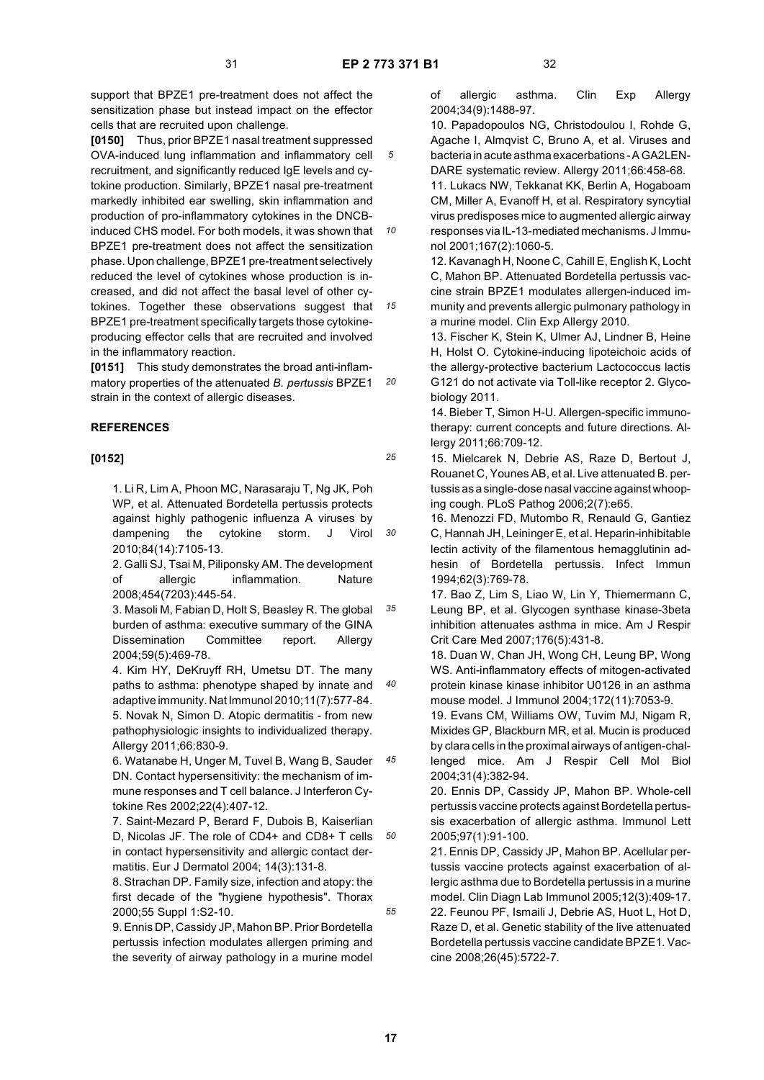*10*

*15*

*25*

*40*

support that BPZE1 pre-treatment does not affect the sensitization phase but instead impact on the effector cells that are recruited upon challenge.

**[0150]** Thus, prior BPZE1 nasal treatment suppressed OVA-induced lung inflammation and inflammatory cell recruitment, and significantly reduced IgE levels and cytokine production. Similarly, BPZE1 nasal pre-treatment markedly inhibited ear swelling, skin inflammation and production of pro-inflammatory cytokines in the DNCBinduced CHS model. For both models, it was shown that BPZE1 pre-treatment does not affect the sensitization phase. Upon challenge, BPZE1 pre-treatment selectively reduced the level of cytokines whose production is increased, and did not affect the basal level of other cytokines. Together these observations suggest that BPZE1 pre-treatment specifically targets those cytokineproducing effector cells that are recruited and involved in the inflammatory reaction.

*20* **[0151]** This study demonstrates the broad anti-inflammatory properties of the attenuated *B. pertussis* BPZE1 strain in the context of allergic diseases.

# **REFERENCES**

# **[0152]**

*30* 1. Li R, Lim A, Phoon MC, Narasaraju T, Ng JK, Poh WP, et al. Attenuated Bordetella pertussis protects against highly pathogenic influenza A viruses by dampening the cytokine storm. J Virol 2010;84(14):7105-13.

2. Galli SJ, Tsai M, Piliponsky AM. The development of allergic inflammation. Nature 2008;454(7203):445-54.

*35* 3. Masoli M, Fabian D, Holt S, Beasley R. The global burden of asthma: executive summary of the GINA Dissemination Committee report. Allergy 2004;59(5):469-78.

4. Kim HY, DeKruyff RH, Umetsu DT. The many paths to asthma: phenotype shaped by innate and adaptive immunity. Nat Immunol 2010;11(7):577-84. 5. Novak N, Simon D. Atopic dermatitis - from new pathophysiologic insights to individualized therapy. Allergy 2011;66:830-9.

*45* 6. Watanabe H, Unger M, Tuvel B, Wang B, Sauder DN. Contact hypersensitivity: the mechanism of immune responses and T cell balance. J Interferon Cytokine Res 2002;22(4):407-12.

*50* 7. Saint-Mezard P, Berard F, Dubois B, Kaiserlian D, Nicolas JF. The role of CD4+ and CD8+ T cells in contact hypersensitivity and allergic contact dermatitis. Eur J Dermatol 2004; 14(3):131-8.

8. Strachan DP. Family size, infection and atopy: the first decade of the "hygiene hypothesis". Thorax 2000;55 Suppl 1:S2-10.

9. Ennis DP, Cassidy JP, Mahon BP. Prior Bordetella pertussis infection modulates allergen priming and the severity of airway pathology in a murine model of allergic asthma. Clin Exp Allergy 2004;34(9):1488-97.

10. Papadopoulos NG, Christodoulou I, Rohde G, Agache I, Almqvist C, Bruno A, et al. Viruses and bacteria in acute asthma exacerbations - A GA2LEN-DARE systematic review. Allergy 2011;66:458-68.

11. Lukacs NW, Tekkanat KK, Berlin A, Hogaboam CM, Miller A, Evanoff H, et al. Respiratory syncytial virus predisposes mice to augmented allergic airway responses via IL-13-mediated mechanisms. J Immunol 2001;167(2):1060-5.

12. Kavanagh H, Noone C, Cahill E, English K, Locht C, Mahon BP. Attenuated Bordetella pertussis vaccine strain BPZE1 modulates allergen-induced immunity and prevents allergic pulmonary pathology in a murine model. Clin Exp Allergy 2010.

13. Fischer K, Stein K, Ulmer AJ, Lindner B, Heine H, Holst O. Cytokine-inducing lipoteichoic acids of the allergy-protective bacterium Lactococcus lactis G121 do not activate via Toll-like receptor 2. Glycobiology 2011.

14. Bieber T, Simon H-U. Allergen-specific immunotherapy: current concepts and future directions. Allergy 2011;66:709-12.

15. Mielcarek N, Debrie AS, Raze D, Bertout J, Rouanet C, Younes AB, et al. Live attenuated B. pertussis as a single-dose nasal vaccine against whooping cough. PLoS Pathog 2006;2(7):e65.

16. Menozzi FD, Mutombo R, Renauld G, Gantiez C, Hannah JH, Leininger E, et al. Heparin-inhibitable lectin activity of the filamentous hemagglutinin adhesin of Bordetella pertussis. Infect Immun 1994;62(3):769-78.

17. Bao Z, Lim S, Liao W, Lin Y, Thiemermann C, Leung BP, et al. Glycogen synthase kinase-3beta inhibition attenuates asthma in mice. Am J Respir Crit Care Med 2007;176(5):431-8.

18. Duan W, Chan JH, Wong CH, Leung BP, Wong WS. Anti-inflammatory effects of mitogen-activated protein kinase kinase inhibitor U0126 in an asthma mouse model. J Immunol 2004;172(11):7053-9.

19. Evans CM, Williams OW, Tuvim MJ, Nigam R, Mixides GP, Blackburn MR, et al. Mucin is produced by clara cells in the proximal airways of antigen-challenged mice. Am J Respir Cell Mol Biol 2004;31(4):382-94.

20. Ennis DP, Cassidy JP, Mahon BP. Whole-cell pertussis vaccine protects against Bordetella pertussis exacerbation of allergic asthma. Immunol Lett 2005;97(1):91-100.

21. Ennis DP, Cassidy JP, Mahon BP. Acellular pertussis vaccine protects against exacerbation of allergic asthma due to Bordetella pertussis in a murine model. Clin Diagn Lab Immunol 2005;12(3):409-17.

22. Feunou PF, Ismaili J, Debrie AS, Huot L, Hot D, Raze D, et al. Genetic stability of the live attenuated Bordetella pertussis vaccine candidate BPZE1. Vaccine 2008;26(45):5722-7.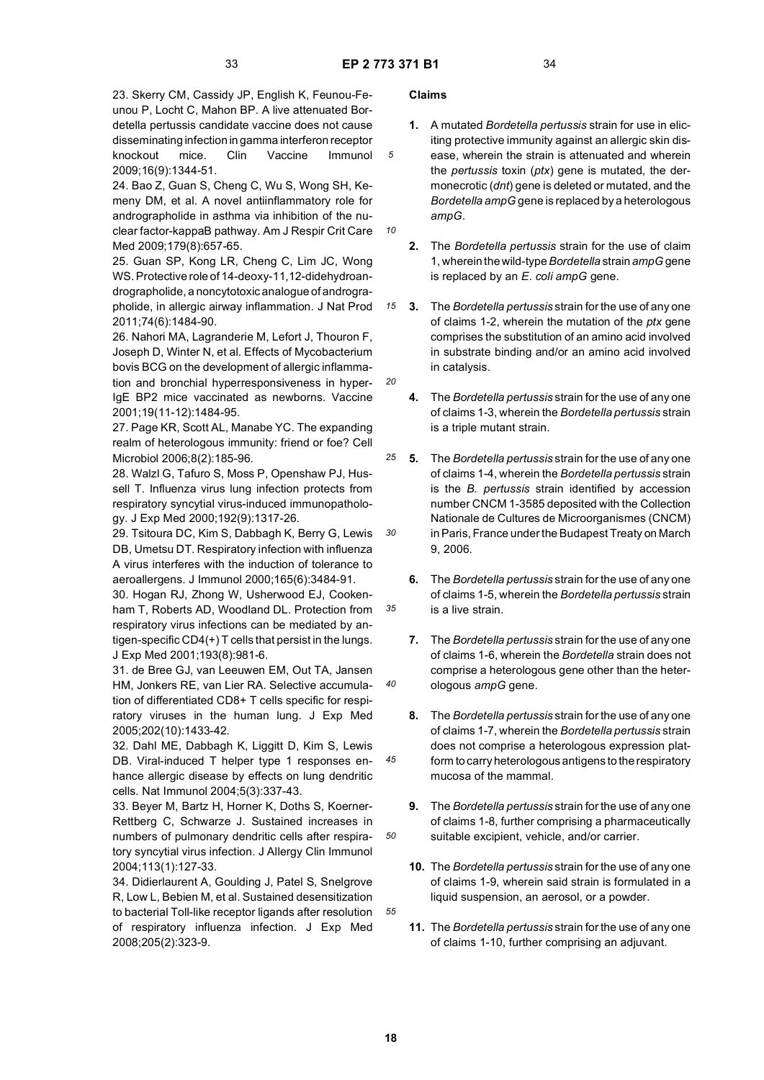*10*

*15*

*20*

*30*

*35*

*40*

*45*

*50*

*55*

23. Skerry CM, Cassidy JP, English K, Feunou-Feunou P, Locht C, Mahon BP. A live attenuated Bordetella pertussis candidate vaccine does not cause disseminating infection in gamma interferon receptor knockout mice. Clin Vaccine Immunol 2009;16(9):1344-51.

24. Bao Z, Guan S, Cheng C, Wu S, Wong SH, Kemeny DM, et al. A novel antiinflammatory role for andrographolide in asthma via inhibition of the nuclear factor-kappaB pathway. Am J Respir Crit Care Med 2009;179(8):657-65.

25. Guan SP, Kong LR, Cheng C, Lim JC, Wong WS. Protective role of 14-deoxy-11,12-didehydroandrographolide, a noncytotoxic analogue of andrographolide, in allergic airway inflammation. J Nat Prod 2011;74(6):1484-90.

26. Nahori MA, Lagranderie M, Lefort J, Thouron F, Joseph D, Winter N, et al. Effects of Mycobacterium bovis BCG on the development of allergic inflammation and bronchial hyperresponsiveness in hyper-IgE BP2 mice vaccinated as newborns. Vaccine 2001;19(11-12):1484-95.

27. Page KR, Scott AL, Manabe YC. The expanding realm of heterologous immunity: friend or foe? Cell Microbiol 2006;8(2):185-96.

28. Walzl G, Tafuro S, Moss P, Openshaw PJ, Hussell T. Influenza virus lung infection protects from respiratory syncytial virus-induced immunopathology. J Exp Med 2000;192(9):1317-26.

29. Tsitoura DC, Kim S, Dabbagh K, Berry G, Lewis DB, Umetsu DT. Respiratory infection with influenza A virus interferes with the induction of tolerance to aeroallergens. J Immunol 2000;165(6):3484-91.

30. Hogan RJ, Zhong W, Usherwood EJ, Cookenham T, Roberts AD, Woodland DL. Protection from respiratory virus infections can be mediated by antigen-specific CD4(+) T cells that persist in the lungs. J Exp Med 2001;193(8):981-6.

31. de Bree GJ, van Leeuwen EM, Out TA, Jansen HM, Jonkers RE, van Lier RA. Selective accumulation of differentiated CD8+ T cells specific for respiratory viruses in the human lung. J Exp Med 2005;202(10):1433-42.

32. Dahl ME, Dabbagh K, Liggitt D, Kim S, Lewis DB. Viral-induced T helper type 1 responses enhance allergic disease by effects on lung dendritic cells. Nat Immunol 2004;5(3):337-43.

33. Beyer M, Bartz H, Horner K, Doths S, Koerner-Rettberg C, Schwarze J. Sustained increases in numbers of pulmonary dendritic cells after respiratory syncytial virus infection. J Allergy Clin Immunol 2004;113(1):127-33.

34. Didierlaurent A, Goulding J, Patel S, Snelgrove R, Low L, Bebien M, et al. Sustained desensitization to bacterial Toll-like receptor ligands after resolution of respiratory influenza infection. J Exp Med 2008;205(2):323-9.

# **Claims**

- **1.** A mutated *Bordetella pertussis* strain for use in eliciting protective immunity against an allergic skin disease, wherein the strain is attenuated and wherein the *pertussis* toxin (*ptx*) gene is mutated, the dermonecrotic (*dnt*) gene is deleted or mutated, and the *Bordetella ampG* gene is replaced by a heterologous *ampG*.
- **2.** The *Bordetella pertussis* strain for the use of claim 1, wherein the wild-type *Bordetella* strain *ampG* gene is replaced by an *E*. *coli ampG* gene.
- **3.** The *Bordetella pertussis* strain for the use of any one of claims 1-2, wherein the mutation of the *ptx* gene comprises the substitution of an amino acid involved in substrate binding and/or an amino acid involved in catalysis.
- **4.** The *Bordetella pertussis* strain for the use of any one of claims 1-3, wherein the *Bordetella pertussis* strain is a triple mutant strain.
- *25* **5.** The *Bordetella pertussis* strain for the use of any one of claims 1-4, wherein the *Bordetella pertussis* strain is the *B. pertussis* strain identified by accession number CNCM 1-3585 deposited with the Collection Nationale de Cultures de Microorganismes (CNCM) in Paris, France under the Budapest Treaty on March 9, 2006.
	- **6.** The *Bordetella pertussis* strain for the use of any one of claims 1-5, wherein the *Bordetella pertussis* strain is a live strain.
	- **7.** The *Bordetella pertussis* strain for the use of any one of claims 1-6, wherein the *Bordetella* strain does not comprise a heterologous gene other than the heterologous *ampG* gene.
	- **8.** The *Bordetella pertussis* strain for the use of any one of claims 1-7, wherein the *Bordetella pertussis* strain does not comprise a heterologous expression platform to carry heterologous antigens to the respiratory mucosa of the mammal.
	- **9.** The *Bordetella pertussis* strain for the use of any one of claims 1-8, further comprising a pharmaceutically suitable excipient, vehicle, and/or carrier.
	- **10.** The *Bordetella pertussis* strain for the use of any one of claims 1-9, wherein said strain is formulated in a liquid suspension, an aerosol, or a powder.
	- **11.** The *Bordetella pertussis* strain for the use of any one of claims 1-10, further comprising an adjuvant.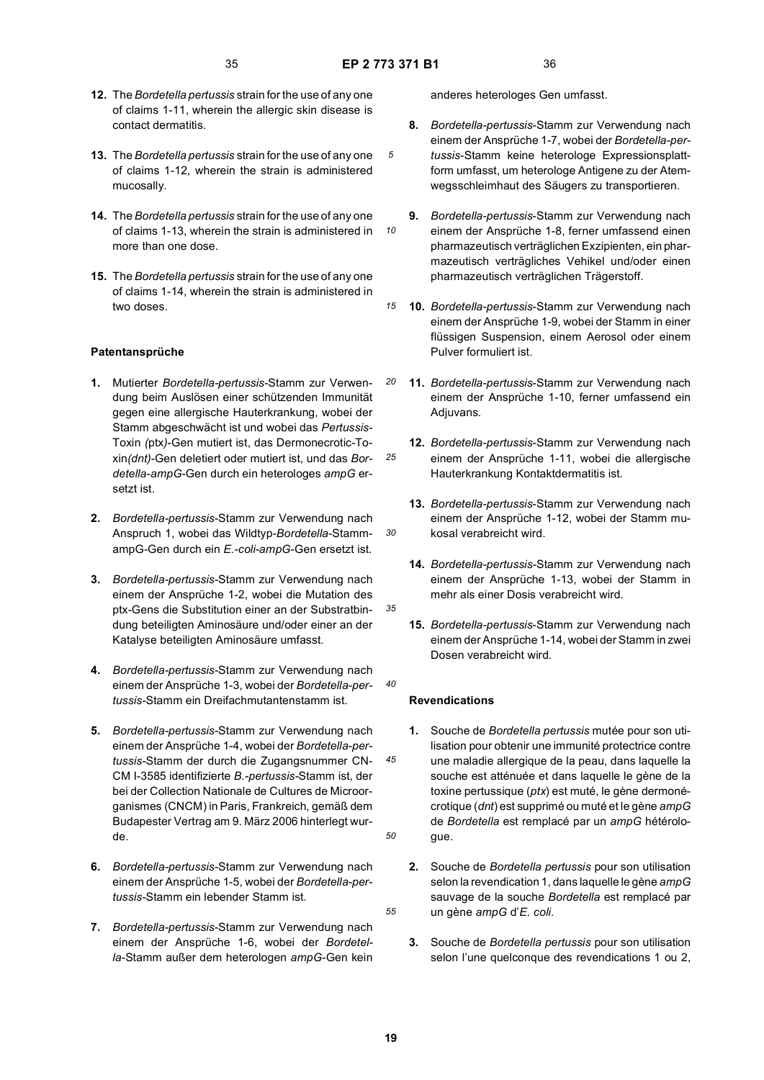*10*

*20*

*30*

*35*

*40*

*45*

*50*

*55*

- **12.** The *Bordetella pertussis* strain for the use of any one of claims 1-11, wherein the allergic skin disease is contact dermatitis.
- **13.** The *Bordetella pertussis* strain for the use of any one of claims 1-12, wherein the strain is administered mucosally.
- **14.** The *Bordetella pertussis* strain for the use of any one of claims 1-13, wherein the strain is administered in more than one dose.
- **15.** The *Bordetella pertussis* strain for the use of any one of claims 1-14, wherein the strain is administered in two doses

# **Patentansprüche**

- **1.** Mutierter *Bordetella-pertussis*-Stamm zur Verwendung beim Auslösen einer schützenden Immunität gegen eine allergische Hauterkrankung, wobei der Stamm abgeschwächt ist und wobei das *Pertussis-*Toxin *(*ptx*)*-Gen mutiert ist, das Dermonecrotic-Toxin*(dnt)*-Gen deletiert oder mutiert ist, und das *Bordetella-ampG*-Gen durch ein heterologes *ampG* ersetzt ist.
- **2.** *Bordetella-pertussis*-Stamm zur Verwendung nach Anspruch 1, wobei das Wildtyp-*Bordetella*-StammampG-Gen durch ein *E.-coli-ampG*-Gen ersetzt ist.
- **3.** *Bordetella-pertussis*-Stamm zur Verwendung nach einem der Ansprüche 1-2, wobei die Mutation des ptx-Gens die Substitution einer an der Substratbindung beteiligten Aminosäure und/oder einer an der Katalyse beteiligten Aminosäure umfasst.
- **4.** *Bordetella-pertussis*-Stamm zur Verwendung nach einem der Ansprüche 1-3, wobei der *Bordetella-pertussis*-Stamm ein Dreifachmutantenstamm ist.
- **5.** *Bordetella-pertussis*-Stamm zur Verwendung nach einem der Ansprüche 1-4, wobei der *Bordetella-pertussis*-Stamm der durch die Zugangsnummer CN-CM I-3585 identifizierte *B.-pertussis-*Stamm ist, der bei der Collection Nationale de Cultures de Microorganismes (CNCM) in Paris, Frankreich, gemäß dem Budapester Vertrag am 9. März 2006 hinterlegt wurde.
- **6.** *Bordetella-pertussis*-Stamm zur Verwendung nach einem der Ansprüche 1-5, wobei der *Bordetella-pertussis*-Stamm ein lebender Stamm ist.
- **7.** *Bordetella-pertussis*-Stamm zur Verwendung nach einem der Ansprüche 1-6, wobei der *Bordetella*-Stamm außer dem heterologen *ampG*-Gen kein

anderes heterologes Gen umfasst.

- **8.** *Bordetella-pertussis*-Stamm zur Verwendung nach einem der Ansprüche 1-7, wobei der *Bordetella-pertussis*-Stamm keine heterologe Expressionsplattform umfasst, um heterologe Antigene zu der Atemwegsschleimhaut des Säugers zu transportieren.
- **9.** *Bordetella-pertussis*-Stamm zur Verwendung nach einem der Ansprüche 1-8, ferner umfassend einen pharmazeutisch verträglichen Exzipienten, ein pharmazeutisch verträgliches Vehikel und/oder einen pharmazeutisch verträglichen Trägerstoff.
- *15* **10.** *Bordetella-pertussis*-Stamm zur Verwendung nach einem der Ansprüche 1-9, wobei der Stamm in einer flüssigen Suspension, einem Aerosol oder einem Pulver formuliert ist.
	- **11.** *Bordetella-pertussis*-Stamm zur Verwendung nach einem der Ansprüche 1-10, ferner umfassend ein Adjuvans.
- *25* **12.** *Bordetella-pertussis*-Stamm zur Verwendung nach einem der Ansprüche 1-11, wobei die allergische Hauterkrankung Kontaktdermatitis ist.
	- **13.** *Bordetella-pertussis*-Stamm zur Verwendung nach einem der Ansprüche 1-12, wobei der Stamm mukosal verabreicht wird.
	- **14.** *Bordetella-pertussis-*Stamm zur Verwendung nach einem der Ansprüche 1-13, wobei der Stamm in mehr als einer Dosis verabreicht wird.
	- **15.** *Bordetella-pertussis*-Stamm zur Verwendung nach einem der Ansprüche 1-14, wobei der Stamm in zwei Dosen verabreicht wird.

## **Revendications**

- **1.** Souche de *Bordetella pertussis* mutée pour son utilisation pour obtenir une immunité protectrice contre une maladie allergique de la peau, dans laquelle la souche est atténuée et dans laquelle le gène de la toxine pertussique (*ptx*) est muté, le gène dermonécrotique (*dnt*) est supprimé ou muté et le gène *ampG* de *Bordetella* est remplacé par un *ampG* hétérologue.
- **2.** Souche de *Bordetella pertussis* pour son utilisation selon la revendication 1, dans laquelle le gène *ampG* sauvage de la souche *Bordetella* est remplacé par un gène *ampG* d'*E*. *coli.*
- **3.** Souche de *Bordetella pertussis* pour son utilisation selon l'une quelconque des revendications 1 ou 2,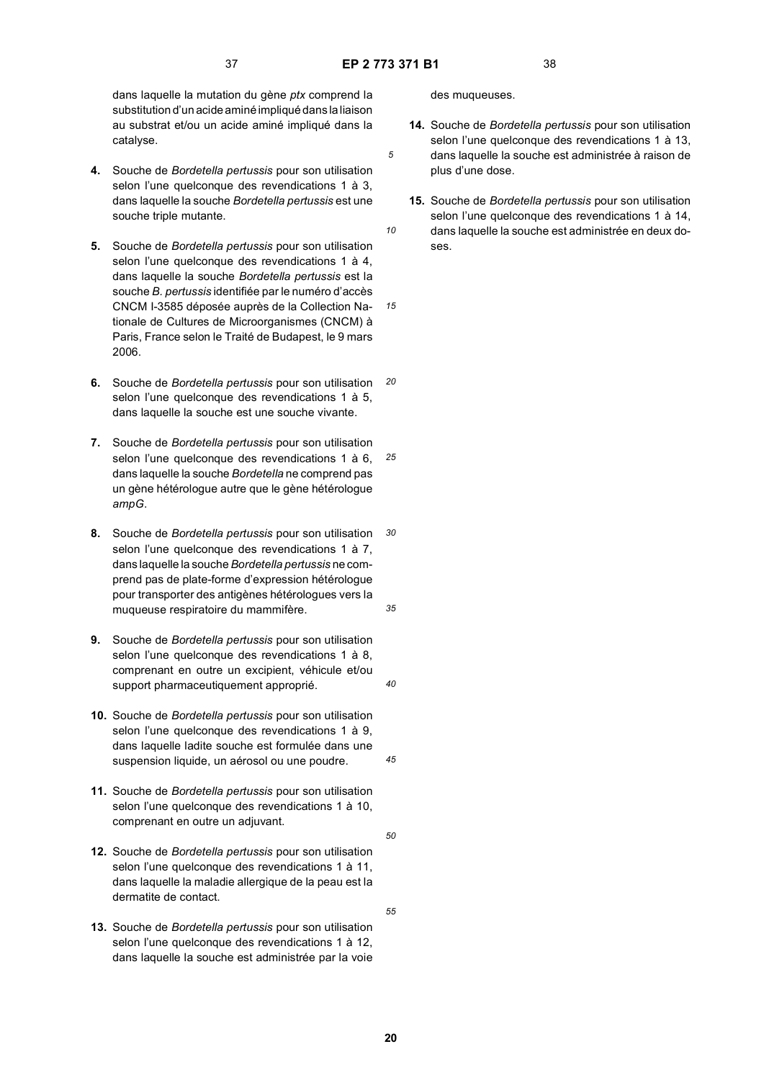*10*

*15*

dans laquelle la mutation du gène *ptx* comprend la substitution d'un acide aminé impliqué dans la liaison au substrat et/ou un acide aminé impliqué dans la catalyse.

- **4.** Souche de *Bordetella pertussis* pour son utilisation selon l'une quelconque des revendications 1 à 3, dans laquelle la souche *Bordetella pertussis* est une souche triple mutante.
- **5.** Souche de *Bordetella pertussis* pour son utilisation selon l'une quelconque des revendications 1 à 4, dans laquelle la souche *Bordetella pertussis* est la souche *B. pertussis* identifiée par le numéro d'accès CNCM I-3585 déposée auprès de la Collection Nationale de Cultures de Microorganismes (CNCM) à Paris, France selon le Traité de Budapest, le 9 mars 2006.
- *20* **6.** Souche de *Bordetella pertussis* pour son utilisation selon l'une quelconque des revendications 1 à 5, dans laquelle la souche est une souche vivante.
- *25* **7.** Souche de *Bordetella pertussis* pour son utilisation selon l'une quelconque des revendications 1 à 6, dans laquelle la souche *Bordetella* ne comprend pas un gène hétérologue autre que le gène hétérologue *ampG*.
- *30 35* **8.** Souche de *Bordetella pertussis* pour son utilisation selon l'une quelconque des revendications 1 à 7, dans laquelle la souche *Bordetella pertussis* ne comprend pas de plate-forme d'expression hétérologue pour transporter des antigènes hétérologues vers la muqueuse respiratoire du mammifère.
- **9.** Souche de *Bordetella pertussis* pour son utilisation selon l'une quelconque des revendications 1 à 8. comprenant en outre un excipient, véhicule et/ou support pharmaceutiquement approprié.
- **10.** Souche de *Bordetella pertussis* pour son utilisation selon l'une quelconque des revendications 1 à 9, dans laquelle ladite souche est formulée dans une suspension liquide, un aérosol ou une poudre.
- **11.** Souche de *Bordetella pertussis* pour son utilisation selon l'une quelconque des revendications 1 à 10, comprenant en outre un adjuvant.
- **12.** Souche de *Bordetella pertussis* pour son utilisation selon l'une quelconque des revendications 1 à 11, dans laquelle la maladie allergique de la peau est la dermatite de contact.
- **13.** Souche de *Bordetella pertussis* pour son utilisation selon l'une quelconque des revendications 1 à 12, dans laquelle la souche est administrée par la voie

des muqueuses.

- **14.** Souche de *Bordetella pertussis* pour son utilisation selon l'une quelconque des revendications 1 à 13, dans laquelle la souche est administrée à raison de plus d'une dose.
- **15.** Souche de *Bordetella pertussis* pour son utilisation selon l'une quelconque des revendications 1 à 14, dans laquelle la souche est administrée en deux doses.

**20**

*40*

*45*

*50*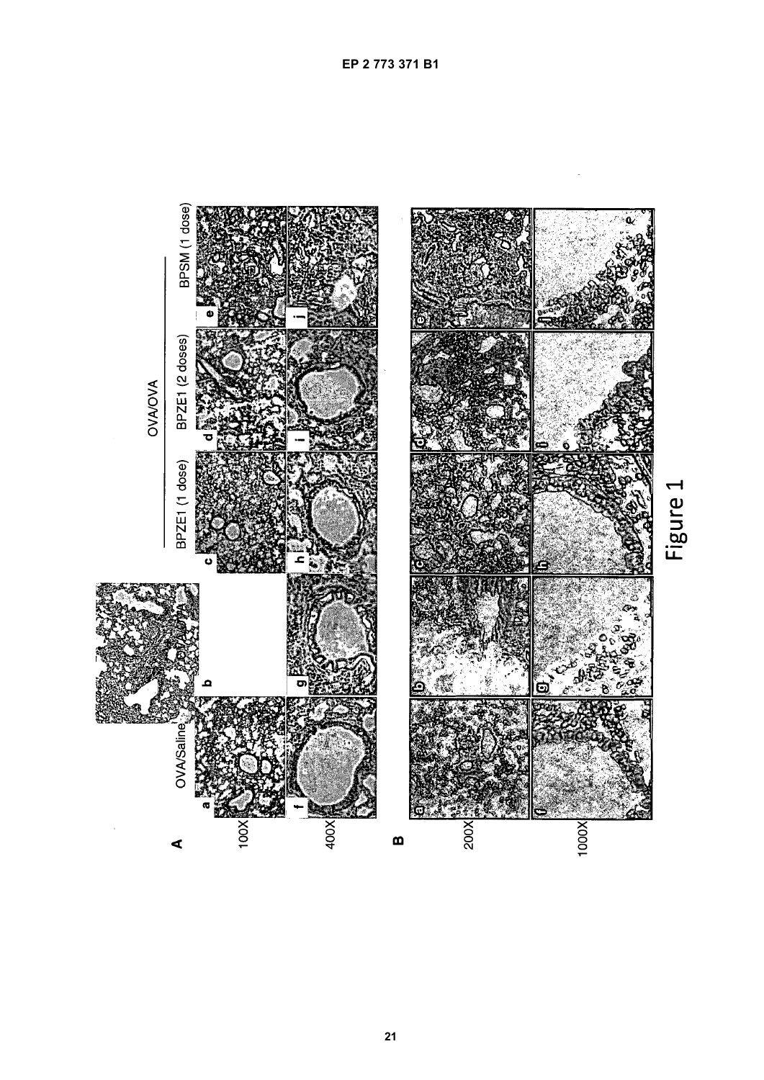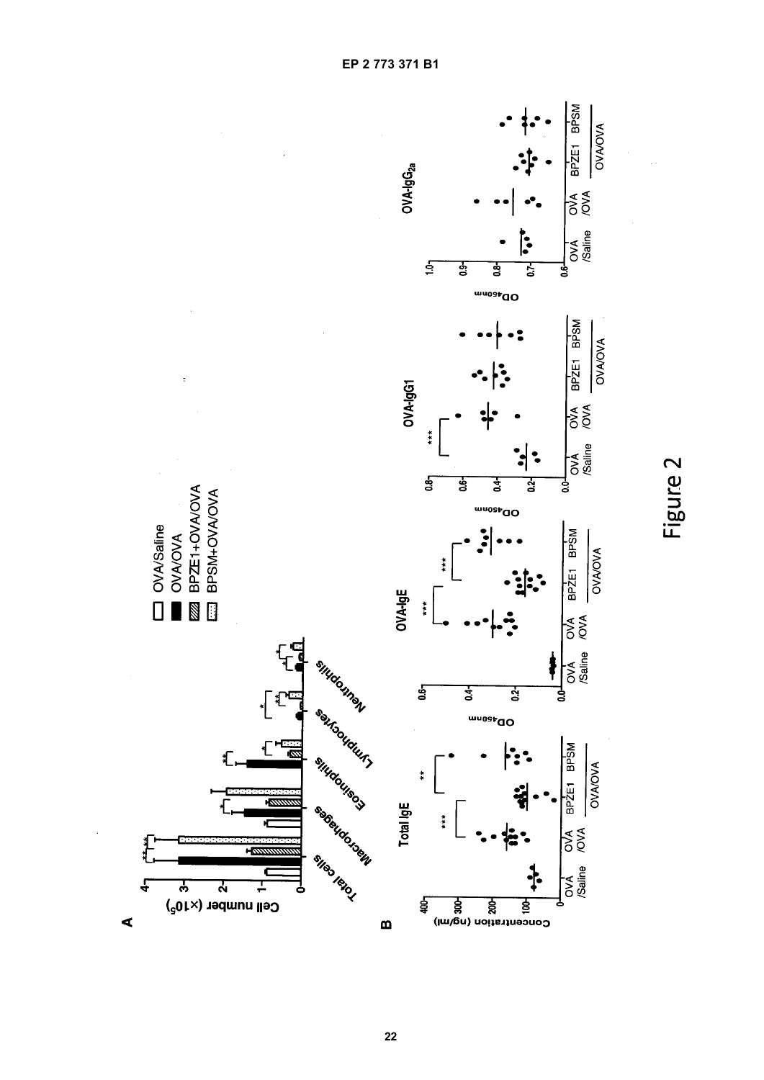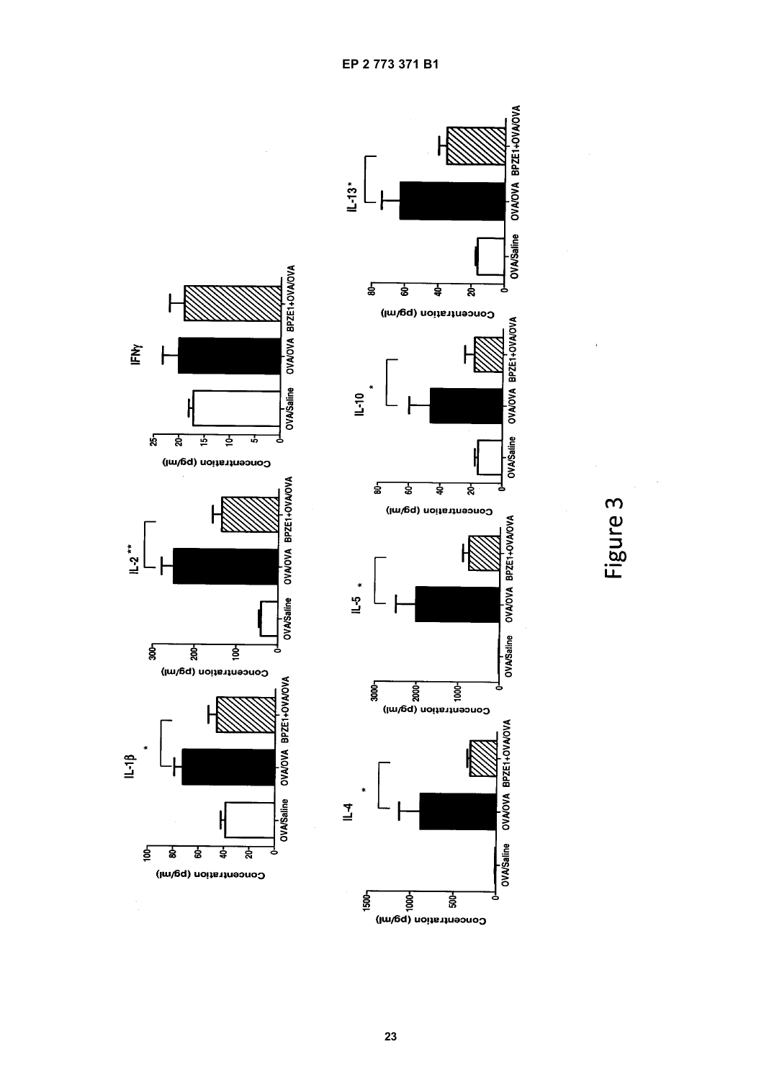

IFMY

 $L-2$ <sup>\*\*</sup>

 $1 - 18$ 

 $\frac{1}{2}$ 



23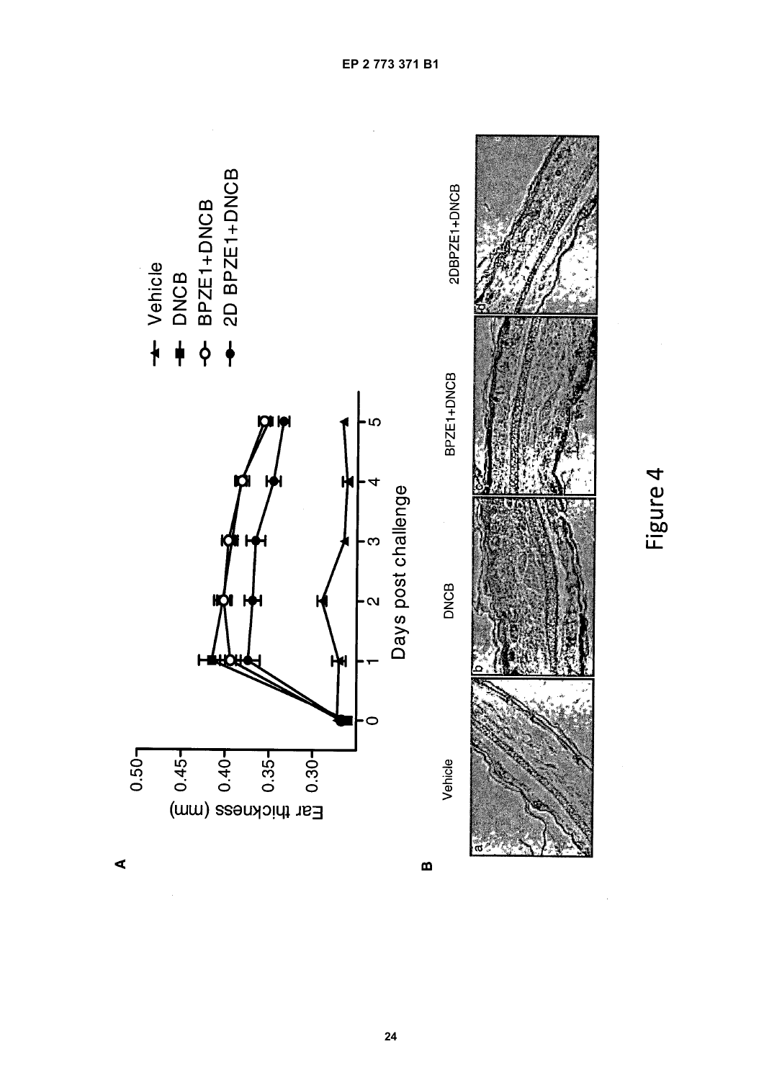

EP 2 773 371 B1

Figure 4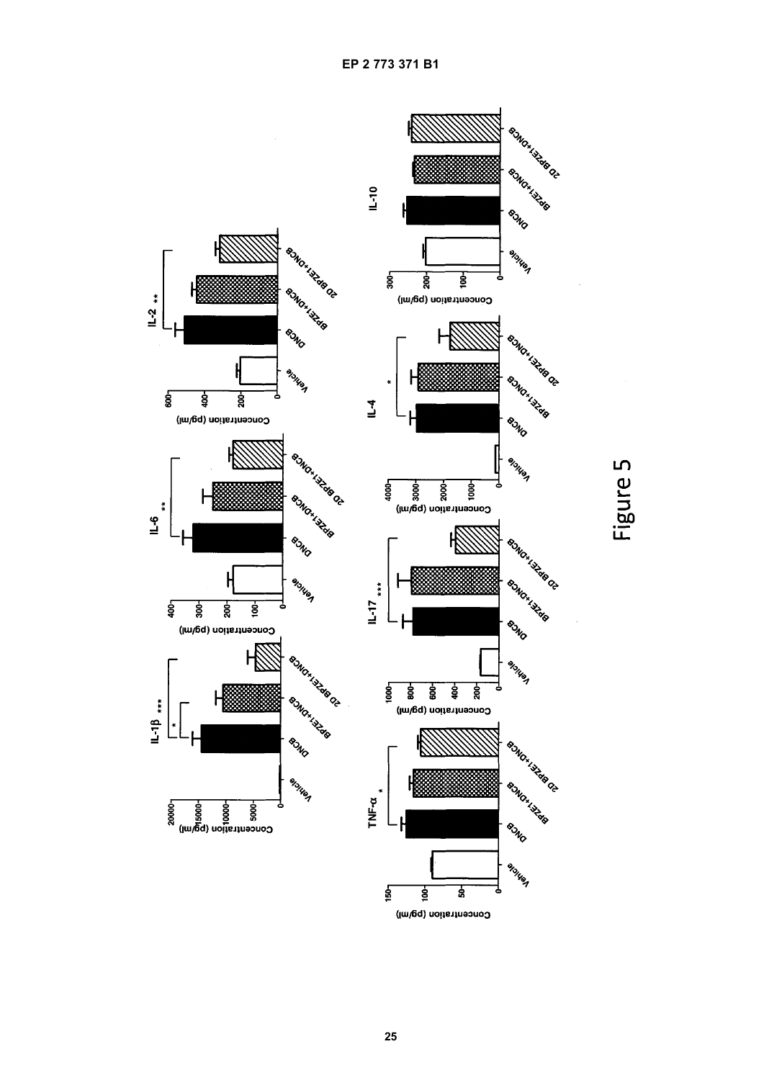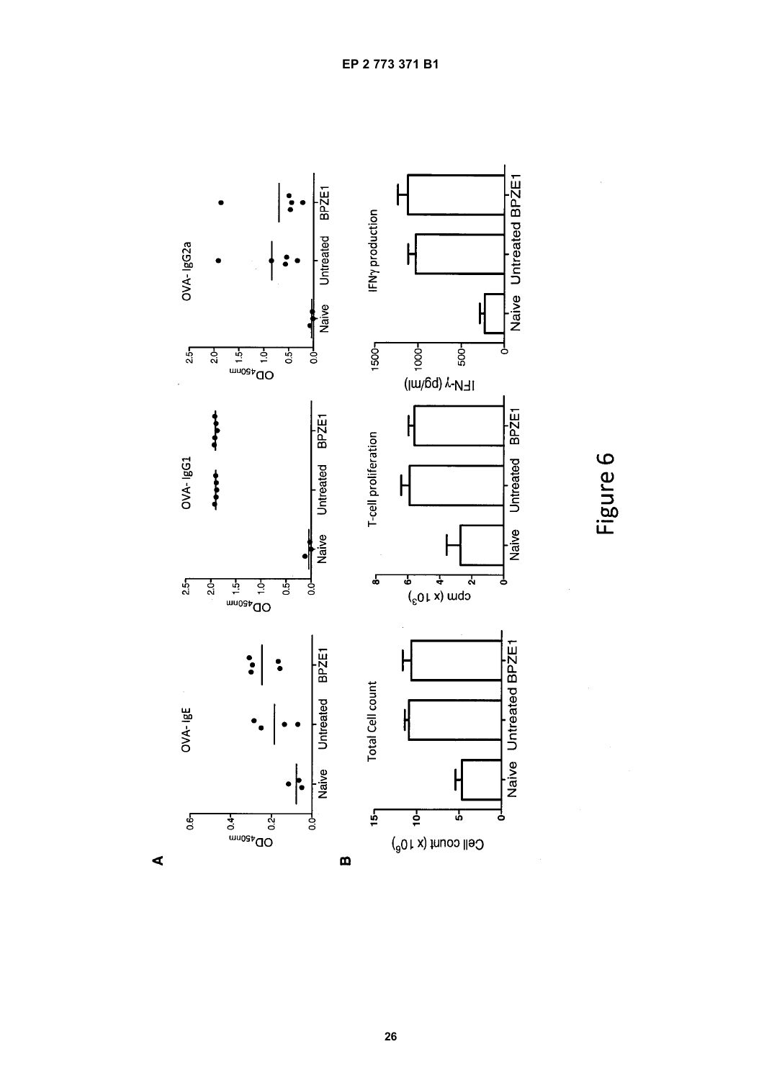

Figure 6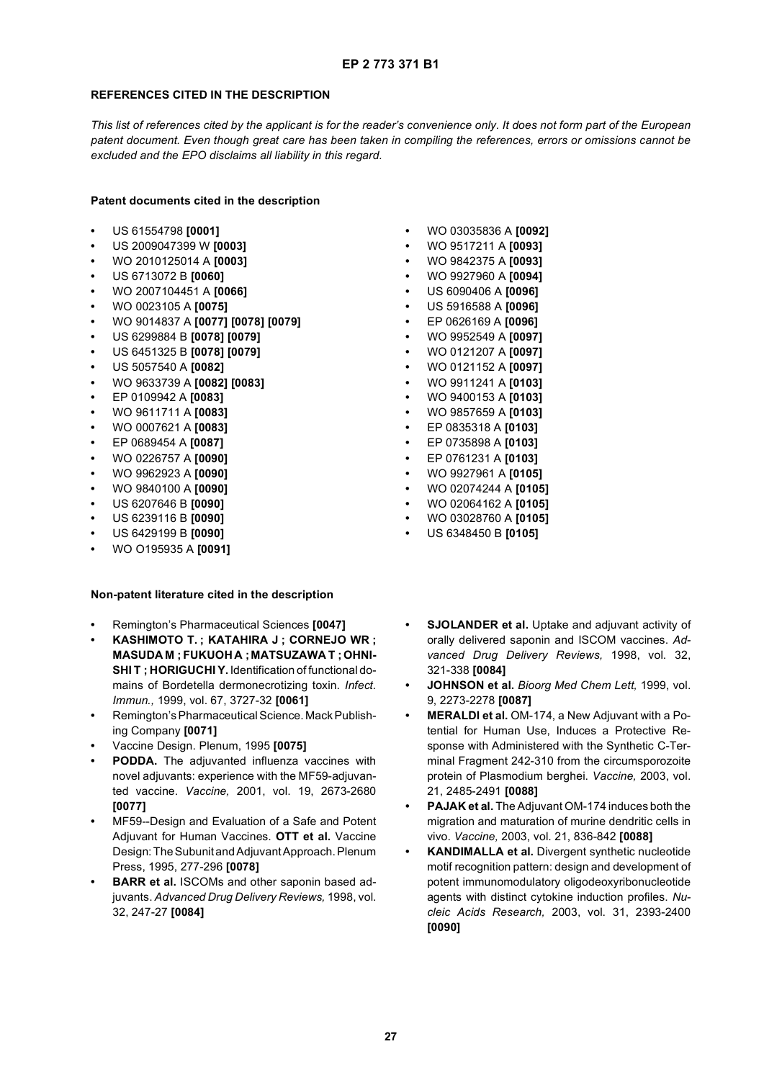# **REFERENCES CITED IN THE DESCRIPTION**

*This list of references cited by the applicant is for the reader's convenience only. It does not form part of the European patent document. Even though great care has been taken in compiling the references, errors or omissions cannot be excluded and the EPO disclaims all liability in this regard.*

**Patent documents cited in the description**

- **•** US 61554798 **[0001]**
- **•** US 2009047399 W **[0003]**
- **•** WO 2010125014 A **[0003]**
- **•** US 6713072 B **[0060]**
- **•** WO 2007104451 A **[0066]**
- **•** WO 0023105 A **[0075]**
- **•** WO 9014837 A **[0077] [0078] [0079]**
- **•** US 6299884 B **[0078] [0079]**
- **•** US 6451325 B **[0078] [0079]**
- **•** US 5057540 A **[0082]**
- **•** WO 9633739 A **[0082] [0083]**
- **•** EP 0109942 A **[0083]**
- **•** WO 9611711 A **[0083]**
- **•** WO 0007621 A **[0083]**
- **•** EP 0689454 A **[0087]**
- **•** WO 0226757 A **[0090]**
- **•** WO 9962923 A **[0090]**
- **•** WO 9840100 A **[0090]**
- **•** US 6207646 B **[0090]**
- **•** US 6239116 B **[0090]**
- **•** US 6429199 B **[0090]**
- **•** WO O195935 A **[0091]**

# **Non-patent literature cited in the description**

- **•** Remington's Pharmaceutical Sciences **[0047]**
- **KASHIMOTO T. ; KATAHIRA J ; CORNEJO WR ; MASUDA M : FUKUOHA : MATSUZAWA T : OHNI-SHI T ; HORIGUCHI Y.** Identification of functional domains of Bordetella dermonecrotizing toxin. *Infect. Immun.,* 1999, vol. 67, 3727-32 **[0061]**
- **•** Remington's Pharmaceutical Science. Mack Publishing Company **[0071]**
- **•** Vaccine Design. Plenum, 1995 **[0075]**
- **PODDA.** The adjuvanted influenza vaccines with novel adjuvants: experience with the MF59-adjuvanted vaccine. *Vaccine,* 2001, vol. 19, 2673-2680 **[0077]**
- **•** MF59--Design and Evaluation of a Safe and Potent Adjuvant for Human Vaccines. **OTT et al.** Vaccine Design: The Subunit and Adjuvant Approach. Plenum Press, 1995, 277-296 **[0078]**
- **BARR et al.** ISCOMs and other saponin based adjuvants. *Advanced Drug Delivery Reviews,* 1998, vol. 32, 247-27 **[0084]**
- **•** WO 03035836 A **[0092]**
- **•** WO 9517211 A **[0093]**
- **•** WO 9842375 A **[0093]**
- **•** WO 9927960 A **[0094]**
- **•** US 6090406 A **[0096]**
- **•** US 5916588 A **[0096]**
- **•** EP 0626169 A **[0096]**
- **•** WO 9952549 A **[0097]**
- **•** WO 0121207 A **[0097]**
- **•** WO 0121152 A **[0097]**
- **•** WO 9911241 A **[0103]**
- **•** WO 9400153 A **[0103]**
- **•** WO 9857659 A **[0103]**
- **•** EP 0835318 A **[0103]**
- **•** EP 0735898 A **[0103]**
- **•** EP 0761231 A **[0103]**
- **•** WO 9927961 A **[0105]**
- **•** WO 02074244 A **[0105]**
- **•** WO 02064162 A **[0105]**
- **•** WO 03028760 A **[0105]**
- **•** US 6348450 B **[0105]**
- **SJOLANDER et al.** Uptake and adjuvant activity of orally delivered saponin and ISCOM vaccines. *Advanced Drug Delivery Reviews,* 1998, vol. 32, 321-338 **[0084]**
- **JOHNSON et al.** *Bioorg Med Chem Lett,* 1999, vol. 9, 2273-2278 **[0087]**
- **MERALDI et al.** OM-174, a New Adjuvant with a Potential for Human Use, Induces a Protective Response with Administered with the Synthetic C-Terminal Fragment 242-310 from the circumsporozoite protein of Plasmodium berghei. *Vaccine,* 2003, vol. 21, 2485-2491 **[0088]**
- **PAJAK et al.** The Adjuvant OM-174 induces both the migration and maturation of murine dendritic cells in vivo. *Vaccine,* 2003, vol. 21, 836-842 **[0088]**
- **KANDIMALLA et al.** Divergent synthetic nucleotide motif recognition pattern: design and development of potent immunomodulatory oligodeoxyribonucleotide agents with distinct cytokine induction profiles. *Nucleic Acids Research,* 2003, vol. 31, 2393-2400 **[0090]**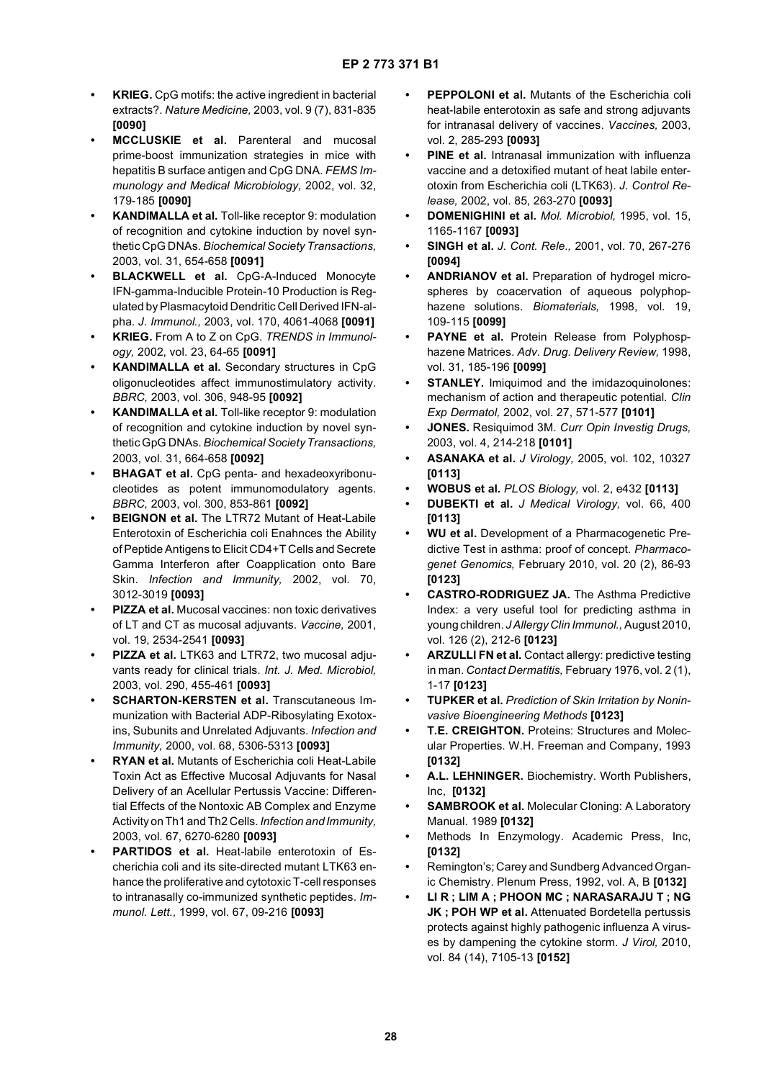- **KRIEG.** CpG motifs: the active ingredient in bacterial extracts?. *Nature Medicine,* 2003, vol. 9 (7), 831-835 **[0090]**
- **MCCLUSKIE et al.** Parenteral and mucosal prime-boost immunization strategies in mice with hepatitis B surface antigen and CpG DNA. *FEMS Immunology and Medical Microbiology,* 2002, vol. 32, 179-185 **[0090]**
- **KANDIMALLA et al.** Toll-like receptor 9: modulation of recognition and cytokine induction by novel synthetic CpG DNAs. *Biochemical Society Transactions,* 2003, vol. 31, 654-658 **[0091]**
- **BLACKWELL et al.** CpG-A-Induced Monocyte IFN-gamma-Inducible Protein-10 Production is Regulated by Plasmacytoid Dendritic Cell Derived IFN-alpha. *J. Immunol.,* 2003, vol. 170, 4061-4068 **[0091]**
- **KRIEG.** From A to Z on CpG. *TRENDS in Immunology,* 2002, vol. 23, 64-65 **[0091]**
- **KANDIMALLA et al.** Secondary structures in CpG oligonucleotides affect immunostimulatory activity. *BBRC,* 2003, vol. 306, 948-95 **[0092]**
- **KANDIMALLA et al.** Toll-like receptor 9: modulation of recognition and cytokine induction by novel synthetic GpG DNAs. *Biochemical Society Transactions,* 2003, vol. 31, 664-658 **[0092]**
- **BHAGAT et al.** CpG penta- and hexadeoxyribonucleotides as potent immunomodulatory agents. *BBRC,* 2003, vol. 300, 853-861 **[0092]**
- **BEIGNON et al.** The LTR72 Mutant of Heat-Labile Enterotoxin of Escherichia coli Enahnces the Ability of Peptide Antigens to Elicit CD4+T Cells and Secrete Gamma Interferon after Coapplication onto Bare Skin. *Infection and Immunity,* 2002, vol. 70, 3012-3019 **[0093]**
- **PIZZA et al.** Mucosal vaccines: non toxic derivatives of LT and CT as mucosal adjuvants. *Vaccine,* 2001, vol. 19, 2534-2541 **[0093]**
- **PIZZA et al.** LTK63 and LTR72, two mucosal adjuvants ready for clinical trials. *Int. J. Med. Microbiol,* 2003, vol. 290, 455-461 **[0093]**
- **SCHARTON-KERSTEN et al.** Transcutaneous Immunization with Bacterial ADP-Ribosylating Exotoxins, Subunits and Unrelated Adjuvants. *Infection and Immunity,* 2000, vol. 68, 5306-5313 **[0093]**
- **RYAN et al.** Mutants of Escherichia coli Heat-Labile Toxin Act as Effective Mucosal Adjuvants for Nasal Delivery of an Acellular Pertussis Vaccine: Differential Effects of the Nontoxic AB Complex and Enzyme Activity on Th1 and Th2 Cells. *Infection and Immunity,* 2003, vol. 67, 6270-6280 **[0093]**
- **PARTIDOS et al.** Heat-labile enterotoxin of Escherichia coli and its site-directed mutant LTK63 enhance the proliferative and cytotoxic T-cell responses to intranasally co-immunized synthetic peptides. *Immunol. Lett.,* 1999, vol. 67, 09-216 **[0093]**
- **PEPPOLONI et al.** Mutants of the Escherichia coli heat-labile enterotoxin as safe and strong adjuvants for intranasal delivery of vaccines. *Vaccines,* 2003, vol. 2, 285-293 **[0093]**
- **PINE et al.** Intranasal immunization with influenza vaccine and a detoxified mutant of heat labile enterotoxin from Escherichia coli (LTK63). *J. Control Release,* 2002, vol. 85, 263-270 **[0093]**
- **DOMENIGHINI et al.** *Mol. Microbiol,* 1995, vol. 15, 1165-1167 **[0093]**
- **SINGH et al.** *J. Cont. Rele.,* 2001, vol. 70, 267-276 **[0094]**
- **ANDRIANOV et al.** Preparation of hydrogel microspheres by coacervation of aqueous polyphophazene solutions. *Biomaterials,* 1998, vol. 19, 109-115 **[0099]**
- **PAYNE et al.** Protein Release from Polyphosphazene Matrices. *Adv. Drug. Delivery Review,* 1998, vol. 31, 185-196 **[0099]**
- **STANLEY.** Imiguimod and the imidazoquinolones: mechanism of action and therapeutic potential. *Clin Exp Dermatol,* 2002, vol. 27, 571-577 **[0101]**
- **JONES.** Resiquimod 3M. *Curr Opin Investig Drugs,* 2003, vol. 4, 214-218 **[0101]**
- **ASANAKA et al.** *J Virology,* 2005, vol. 102, 10327 **[0113]**
- **WOBUS et al.** *PLOS Biology,* vol. 2, e432 **[0113]**
- **DUBEKTI et al.** *J Medical Virology,* vol. 66, 400 **[0113]**
- **WU et al.** Development of a Pharmacogenetic Predictive Test in asthma: proof of concept. *Pharmacogenet Genomics,* February 2010, vol. 20 (2), 86-93 **[0123]**
- **CASTRO-RODRIGUEZ JA.** The Asthma Predictive Index: a very useful tool for predicting asthma in young children. *J Allergy Clin Immunol.,* August 2010, vol. 126 (2), 212-6 **[0123]**
- **ARZULLI FN et al.** Contact allergy: predictive testing in man. *Contact Dermatitis,* February 1976, vol. 2 (1), 1-17 **[0123]**
- **TUPKER et al.** *Prediction of Skin Irritation by Noninvasive Bioengineering Methods* **[0123]**
- **T.E. CREIGHTON.** Proteins: Structures and Molecular Properties. W.H. Freeman and Company, 1993 **[0132]**
- **A.L. LEHNINGER.** Biochemistry. Worth Publishers, Inc, **[0132]**
- **SAMBROOK et al.** Molecular Cloning: A Laboratory Manual. 1989 **[0132]**
- **•** Methods In Enzymology. Academic Press, Inc, **[0132]**
- **•** Remington's; Carey and Sundberg Advanced Organic Chemistry. Plenum Press, 1992, vol. A, B **[0132]**
- **LI R ; LIM A ; PHOON MC ; NARASARAJU T ; NG JK ; POH WP et al.** Attenuated Bordetella pertussis protects against highly pathogenic influenza A viruses by dampening the cytokine storm. *J Virol,* 2010, vol. 84 (14), 7105-13 **[0152]**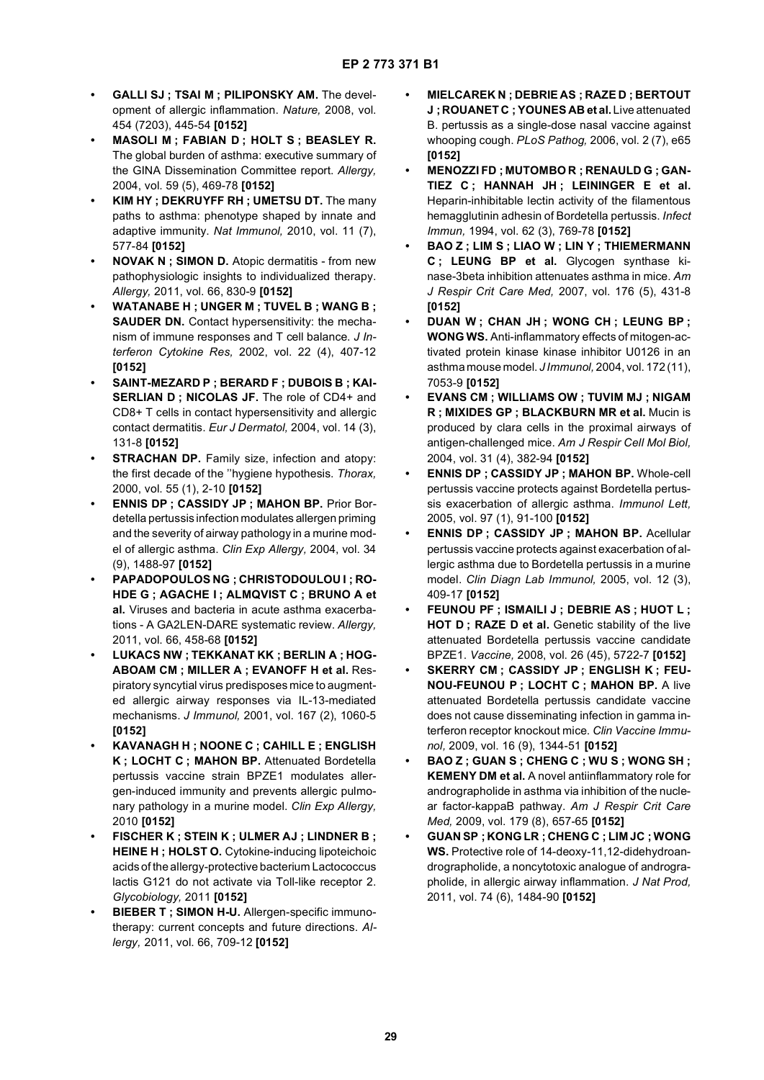- **GALLI SJ ; TSAI M ; PILIPONSKY AM.** The development of allergic inflammation. *Nature,* 2008, vol. 454 (7203), 445-54 **[0152]**
- **MASOLI M ; FABIAN D ; HOLT S ; BEASLEY R.** The global burden of asthma: executive summary of the GINA Dissemination Committee report. *Allergy,* 2004, vol. 59 (5), 469-78 **[0152]**
- **KIM HY ; DEKRUYFF RH ; UMETSU DT.** The many paths to asthma: phenotype shaped by innate and adaptive immunity. *Nat Immunol,* 2010, vol. 11 (7), 577-84 **[0152]**
- **NOVAK N ; SIMON D.** Atopic dermatitis from new pathophysiologic insights to individualized therapy. *Allergy,* 2011, vol. 66, 830-9 **[0152]**
- **WATANABE H ; UNGER M ; TUVEL B ; WANG B ; SAUDER DN.** Contact hypersensitivity: the mechanism of immune responses and T cell balance. *J Interferon Cytokine Res,* 2002, vol. 22 (4), 407-12 **[0152]**
- **SAINT-MEZARD P ; BERARD F ; DUBOIS B ; KAI-SERLIAN D ; NICOLAS JF.** The role of CD4+ and CD8+ T cells in contact hypersensitivity and allergic contact dermatitis. *Eur J Dermatol,* 2004, vol. 14 (3), 131-8 **[0152]**
- **STRACHAN DP.** Family size, infection and atopy: the first decade of the ''hygiene hypothesis. *Thorax,* 2000, vol. 55 (1), 2-10 **[0152]**
- **ENNIS DP ; CASSIDY JP ; MAHON BP.** Prior Bordetella pertussis infection modulates allergen priming and the severity of airway pathology in a murine model of allergic asthma. *Clin Exp Allergy,* 2004, vol. 34 (9), 1488-97 **[0152]**
- **PAPADOPOULOS NG ; CHRISTODOULOU I ; RO-HDE G ; AGACHE I ; ALMQVIST C ; BRUNO A et al.** Viruses and bacteria in acute asthma exacerbations - A GA2LEN-DARE systematic review. *Allergy,* 2011, vol. 66, 458-68 **[0152]**
- **LUKACS NW ; TEKKANAT KK ; BERLIN A ; HOG-ABOAM CM ; MILLER A ; EVANOFF H et al.** Respiratory syncytial virus predisposes mice to augmented allergic airway responses via IL-13-mediated mechanisms. *J Immunol,* 2001, vol. 167 (2), 1060-5 **[0152]**
- **KAVANAGH H ; NOONE C ; CAHILL E ; ENGLISH K ; LOCHT C ; MAHON BP.** Attenuated Bordetella pertussis vaccine strain BPZE1 modulates allergen-induced immunity and prevents allergic pulmonary pathology in a murine model. *Clin Exp Allergy,* 2010 **[0152]**
- **FISCHER K ; STEIN K ; ULMER AJ ; LINDNER B ; HEINE H ; HOLST O.** Cytokine-inducing lipoteichoic acids of the allergy-protective bacterium Lactococcus lactis G121 do not activate via Toll-like receptor 2. *Glycobiology,* 2011 **[0152]**
- **BIEBER T ; SIMON H-U.** Allergen-specific immunotherapy: current concepts and future directions. *Allergy,* 2011, vol. 66, 709-12 **[0152]**
- **MIELCAREK N ; DEBRIE AS ; RAZE D ; BERTOUT J ; ROUANET C ; YOUNES AB et al.** Live attenuated B. pertussis as a single-dose nasal vaccine against whooping cough. *PLoS Pathog,* 2006, vol. 2 (7), e65 **[0152]**
- **MENOZZI FD ; MUTOMBO R ; RENAULD G ; GAN-TIEZ C ; HANNAH JH ; LEININGER E et al.** Heparin-inhibitable lectin activity of the filamentous hemagglutinin adhesin of Bordetella pertussis. *Infect Immun,* 1994, vol. 62 (3), 769-78 **[0152]**
- **BAO Z ; LIM S ; LIAO W ; LIN Y ; THIEMERMANN C ; LEUNG BP et al.** Glycogen synthase kinase-3beta inhibition attenuates asthma in mice. *Am J Respir Crit Care Med,* 2007, vol. 176 (5), 431-8 **[0152]**
- **DUAN W ; CHAN JH ; WONG CH ; LEUNG BP ; WONG WS.** Anti-inflammatory effects of mitogen-activated protein kinase kinase inhibitor U0126 in an asthma mouse model. *J Immunol,* 2004, vol. 172 (11), 7053-9 **[0152]**
- **EVANS CM ; WILLIAMS OW ; TUVIM MJ ; NIGAM R ; MIXIDES GP ; BLACKBURN MR et al.** Mucin is produced by clara cells in the proximal airways of antigen-challenged mice. *Am J Respir Cell Mol Biol,* 2004, vol. 31 (4), 382-94 **[0152]**
- **ENNIS DP ; CASSIDY JP ; MAHON BP.** Whole-cell pertussis vaccine protects against Bordetella pertussis exacerbation of allergic asthma. *Immunol Lett,* 2005, vol. 97 (1), 91-100 **[0152]**
- **ENNIS DP ; CASSIDY JP ; MAHON BP.** Acellular pertussis vaccine protects against exacerbation of allergic asthma due to Bordetella pertussis in a murine model. *Clin Diagn Lab Immunol,* 2005, vol. 12 (3), 409-17 **[0152]**
- **FEUNOU PF ; ISMAILI J ; DEBRIE AS ; HUOT L ; HOT D ; RAZE D et al.** Genetic stability of the live attenuated Bordetella pertussis vaccine candidate BPZE1. *Vaccine,* 2008, vol. 26 (45), 5722-7 **[0152]**
- **SKERRY CM ; CASSIDY JP ; ENGLISH K ; FEU-NOU-FEUNOU P ; LOCHT C ; MAHON BP.** A live attenuated Bordetella pertussis candidate vaccine does not cause disseminating infection in gamma interferon receptor knockout mice. *Clin Vaccine Immunol,* 2009, vol. 16 (9), 1344-51 **[0152]**
- **BAO Z ; GUAN S ; CHENG C ; WU S ; WONG SH ; KEMENY DM et al.** A novel antiinflammatory role for andrographolide in asthma via inhibition of the nuclear factor-kappaB pathway. *Am J Respir Crit Care Med,* 2009, vol. 179 (8), 657-65 **[0152]**
- **GUAN SP ; KONG LR ; CHENG C ; LIM JC ; WONG WS.** Protective role of 14-deoxy-11,12-didehydroandrographolide, a noncytotoxic analogue of andrographolide, in allergic airway inflammation. *J Nat Prod,* 2011, vol. 74 (6), 1484-90 **[0152]**